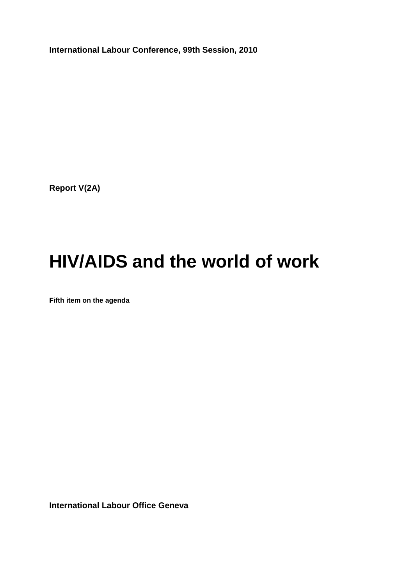**International Labour Conference, 99th Session, 2010**

**Report V(2A)**

# **HIV/AIDS and the world of work**

**Fifth item on the agenda**

**International Labour Office Geneva**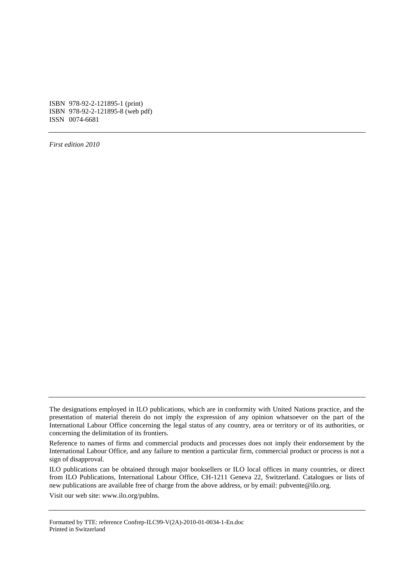ISBN 978-92-2-121895-1 (print) ISBN 978-92-2-121895-8 (web pdf) ISSN 0074-6681

*First edition 2010*

ILO publications can be obtained through major booksellers or ILO local offices in many countries, or direct from ILO Publications, International Labour Office, CH-1211 Geneva 22, Switzerland. Catalogues or lists of new publications are available free of charge from the above address, or by email: pubvente@ilo.org.

Visit our web site: www.ilo.org/publns.

Formatted by TTE: reference Confrep-ILC99-V(2A)-2010-01-0034-1-En.doc Printed in Switzerland

The designations employed in ILO publications, which are in conformity with United Nations practice, and the presentation of material therein do not imply the expression of any opinion whatsoever on the part of the International Labour Office concerning the legal status of any country, area or territory or of its authorities, or concerning the delimitation of its frontiers.

Reference to names of firms and commercial products and processes does not imply their endorsement by the International Labour Office, and any failure to mention a particular firm, commercial product or process is not a sign of disapproval.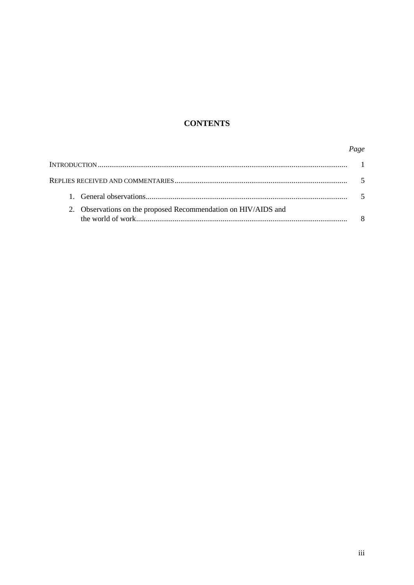# **CONTENTS**

# Page

| 2. Observations on the proposed Recommendation on HIV/AIDS and |  |
|----------------------------------------------------------------|--|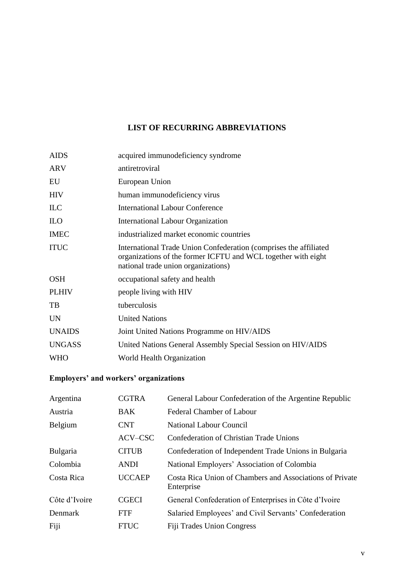# **LIST OF RECURRING ABBREVIATIONS**

| <b>AIDS</b>   | acquired immunodeficiency syndrome                                                                                                                                        |
|---------------|---------------------------------------------------------------------------------------------------------------------------------------------------------------------------|
| <b>ARV</b>    | antiretroviral                                                                                                                                                            |
| EU            | European Union                                                                                                                                                            |
| <b>HIV</b>    | human immunodeficiency virus                                                                                                                                              |
| ILC           | <b>International Labour Conference</b>                                                                                                                                    |
| <b>ILO</b>    | <b>International Labour Organization</b>                                                                                                                                  |
| <b>IMEC</b>   | industrialized market economic countries                                                                                                                                  |
| <b>ITUC</b>   | International Trade Union Confederation (comprises the affiliated<br>organizations of the former ICFTU and WCL together with eight<br>national trade union organizations) |
| <b>OSH</b>    | occupational safety and health                                                                                                                                            |
| <b>PLHIV</b>  | people living with HIV                                                                                                                                                    |
| TB            | tuberculosis                                                                                                                                                              |
| <b>UN</b>     | <b>United Nations</b>                                                                                                                                                     |
| <b>UNAIDS</b> | Joint United Nations Programme on HIV/AIDS                                                                                                                                |
| <b>UNGASS</b> | United Nations General Assembly Special Session on HIV/AIDS                                                                                                               |
| <b>WHO</b>    | World Health Organization                                                                                                                                                 |

# **Employers' and workers' organizations**

| Argentina       | <b>CGTRA</b>  | General Labour Confederation of the Argentine Republic                 |
|-----------------|---------------|------------------------------------------------------------------------|
| Austria         | <b>BAK</b>    | <b>Federal Chamber of Labour</b>                                       |
| Belgium         | <b>CNT</b>    | National Labour Council                                                |
|                 | ACV-CSC       | Confederation of Christian Trade Unions                                |
| <b>Bulgaria</b> | <b>CITUB</b>  | Confederation of Independent Trade Unions in Bulgaria                  |
| Colombia        | <b>ANDI</b>   | National Employers' Association of Colombia                            |
| Costa Rica      | <b>UCCAEP</b> | Costa Rica Union of Chambers and Associations of Private<br>Enterprise |
| Côte d'Ivoire   | <b>CGECI</b>  | General Confederation of Enterprises in Côte d'Ivoire                  |
| Denmark         | <b>FTF</b>    | Salaried Employees' and Civil Servants' Confederation                  |
| Fiji            | <b>FTUC</b>   | Fiji Trades Union Congress                                             |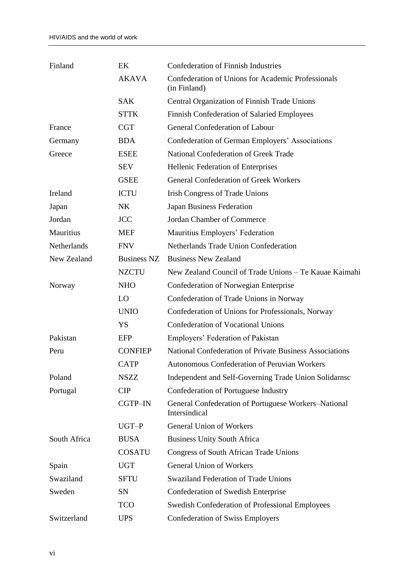| Finland      | EK                 | <b>Confederation of Finnish Industries</b>                            |
|--------------|--------------------|-----------------------------------------------------------------------|
|              | <b>AKAVA</b>       | Confederation of Unions for Academic Professionals<br>(in Finland)    |
|              | <b>SAK</b>         | Central Organization of Finnish Trade Unions                          |
|              | <b>STTK</b>        | Finnish Confederation of Salaried Employees                           |
| France       | <b>CGT</b>         | <b>General Confederation of Labour</b>                                |
| Germany      | <b>BDA</b>         | Confederation of German Employers' Associations                       |
| Greece       | <b>ESEE</b>        | National Confederation of Greek Trade                                 |
|              | <b>SEV</b>         | Hellenic Federation of Enterprises                                    |
|              | <b>GSEE</b>        | <b>General Confederation of Greek Workers</b>                         |
| Ireland      | <b>ICTU</b>        | <b>Irish Congress of Trade Unions</b>                                 |
| Japan        | <b>NK</b>          | Japan Business Federation                                             |
| Jordan       | <b>JCC</b>         | Jordan Chamber of Commerce                                            |
| Mauritius    | <b>MEF</b>         | Mauritius Employers' Federation                                       |
| Netherlands  | <b>FNV</b>         | Netherlands Trade Union Confederation                                 |
| New Zealand  | <b>Business NZ</b> | <b>Business New Zealand</b>                                           |
|              | <b>NZCTU</b>       | New Zealand Council of Trade Unions – Te Kauae Kaimahi                |
| Norway       | <b>NHO</b>         | Confederation of Norwegian Enterprise                                 |
|              | LO                 | Confederation of Trade Unions in Norway                               |
|              | <b>UNIO</b>        | Confederation of Unions for Professionals, Norway                     |
|              | YS                 | <b>Confederation of Vocational Unions</b>                             |
| Pakistan     | <b>EFP</b>         | Employers' Federation of Pakistan                                     |
| Peru         | <b>CONFIEP</b>     | National Confederation of Private Business Associations               |
|              | <b>CATP</b>        | Autonomous Confederation of Peruvian Workers                          |
| Poland       | <b>NSZZ</b>        | Independent and Self-Governing Trade Union Solidarnsc                 |
| Portugal     | <b>CIP</b>         | Confederation of Portuguese Industry                                  |
|              | CGTP-IN            | General Confederation of Portuguese Workers-National<br>Intersindical |
|              | UGT-P              | <b>General Union of Workers</b>                                       |
| South Africa | <b>BUSA</b>        | <b>Business Unity South Africa</b>                                    |
|              | <b>COSATU</b>      | Congress of South African Trade Unions                                |
| Spain        | <b>UGT</b>         | <b>General Union of Workers</b>                                       |
| Swaziland    | <b>SFTU</b>        | <b>Swaziland Federation of Trade Unions</b>                           |
| Sweden       | <b>SN</b>          | Confederation of Swedish Enterprise                                   |
|              | <b>TCO</b>         | Swedish Confederation of Professional Employees                       |
| Switzerland  | <b>UPS</b>         | <b>Confederation of Swiss Employers</b>                               |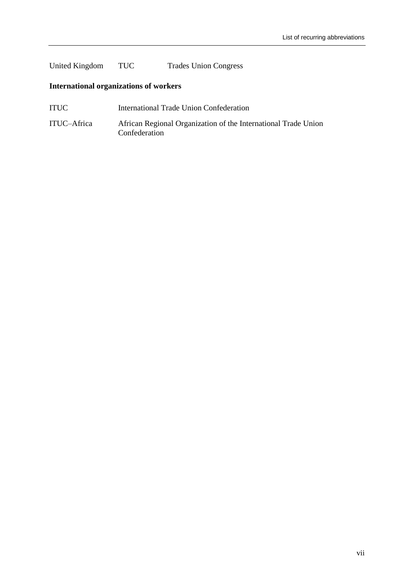# United Kingdom TUC Trades Union Congress

# **International organizations of workers**

- ITUC International Trade Union Confederation
- ITUC–Africa African Regional Organization of the International Trade Union Confederation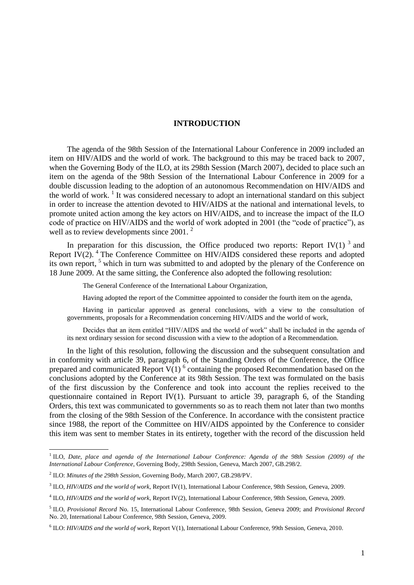# **INTRODUCTION**

The agenda of the 98th Session of the International Labour Conference in 2009 included an item on HIV/AIDS and the world of work. The background to this may be traced back to 2007, when the Governing Body of the ILO, at its 298th Session (March 2007), decided to place such an item on the agenda of the 98th Session of the International Labour Conference in 2009 for a double discussion leading to the adoption of an autonomous Recommendation on HIV/AIDS and the world of work.<sup>1</sup> It was considered necessary to adopt an international standard on this subject in order to increase the attention devoted to HIV/AIDS at the national and international levels, to promote united action among the key actors on HIV/AIDS, and to increase the impact of the ILO code of practice on HIV/AIDS and the world of work adopted in 2001 (the "code of practice"), as well as to review developments since 2001.<sup>2</sup>

In preparation for this discussion, the Office produced two reports: Report IV(1)<sup>3</sup> and Report IV $(2)$ . <sup>4</sup> The Conference Committee on HIV/AIDS considered these reports and adopted its own report,<sup>5</sup> which in turn was submitted to and adopted by the plenary of the Conference on 18 June 2009. At the same sitting, the Conference also adopted the following resolution:

The General Conference of the International Labour Organization,

Having adopted the report of the Committee appointed to consider the fourth item on the agenda,

Having in particular approved as general conclusions, with a view to the consultation of governments, proposals for a Recommendation concerning HIV/AIDS and the world of work,

Decides that an item entitled "HIV/AIDS and the world of work" shall be included in the agenda of its next ordinary session for second discussion with a view to the adoption of a Recommendation.

In the light of this resolution, following the discussion and the subsequent consultation and in conformity with article 39, paragraph 6, of the Standing Orders of the Conference, the Office prepared and communicated Report  $V(1)$ <sup>6</sup> containing the proposed Recommendation based on the conclusions adopted by the Conference at its 98th Session. The text was formulated on the basis of the first discussion by the Conference and took into account the replies received to the questionnaire contained in Report IV(1). Pursuant to article 39, paragraph 6, of the Standing Orders, this text was communicated to governments so as to reach them not later than two months from the closing of the 98th Session of the Conference. In accordance with the consistent practice since 1988, the report of the Committee on HIV/AIDS appointed by the Conference to consider this item was sent to member States in its entirety, together with the record of the discussion held

 $\overline{\phantom{a}}$ 

<sup>1</sup> ILO, *Date, place and agenda of the International Labour Conference: Agenda of the 98th Session (2009) of the International Labour Conference*, Governing Body, 298th Session, Geneva, March 2007, GB.298/2.

<sup>2</sup> ILO: *Minutes of the 298th Session*, Governing Body, March 2007, GB.298/PV.

<sup>3</sup> ILO, *HIV/AIDS and the world of work*, Report IV(1), International Labour Conference, 98th Session, Geneva, 2009.

<sup>4</sup> ILO, *HIV/AIDS and the world of work*, Report IV(2), International Labour Conference, 98th Session, Geneva, 2009.

<sup>5</sup> ILO, *Provisional Record* No. 15, International Labour Conference, 98th Session, Geneva 2009; and *Provisional Record* No. 20, International Labour Conference, 98th Session, Geneva, 2009.

<sup>6</sup> ILO: *HIV/AIDS and the world of work*, Report V(1), International Labour Conference, 99th Session, Geneva, 2010.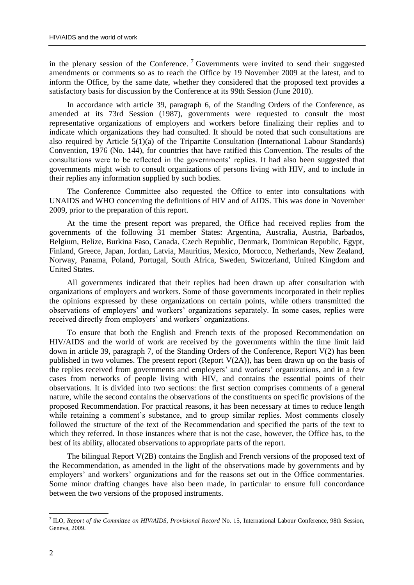in the plenary session of the Conference.<sup>7</sup> Governments were invited to send their suggested amendments or comments so as to reach the Office by 19 November 2009 at the latest, and to inform the Office, by the same date, whether they considered that the proposed text provides a satisfactory basis for discussion by the Conference at its 99th Session (June 2010).

In accordance with article 39, paragraph 6, of the Standing Orders of the Conference, as amended at its 73rd Session (1987), governments were requested to consult the most representative organizations of employers and workers before finalizing their replies and to indicate which organizations they had consulted. It should be noted that such consultations are also required by Article 5(1)(a) of the Tripartite Consultation (International Labour Standards) Convention, 1976 (No. 144), for countries that have ratified this Convention. The results of the consultations were to be reflected in the governments" replies. It had also been suggested that governments might wish to consult organizations of persons living with HIV, and to include in their replies any information supplied by such bodies.

The Conference Committee also requested the Office to enter into consultations with UNAIDS and WHO concerning the definitions of HIV and of AIDS. This was done in November 2009, prior to the preparation of this report.

At the time the present report was prepared, the Office had received replies from the governments of the following 31 member States: Argentina, Australia, Austria, Barbados, Belgium, Belize, Burkina Faso, Canada, Czech Republic, Denmark, Dominican Republic, Egypt, Finland, Greece, Japan, Jordan, Latvia, Mauritius, Mexico, Morocco, Netherlands, New Zealand, Norway, Panama, Poland, Portugal, South Africa, Sweden, Switzerland, United Kingdom and United States.

All governments indicated that their replies had been drawn up after consultation with organizations of employers and workers. Some of those governments incorporated in their replies the opinions expressed by these organizations on certain points, while others transmitted the observations of employers" and workers" organizations separately. In some cases, replies were received directly from employers' and workers' organizations.

To ensure that both the English and French texts of the proposed Recommendation on HIV/AIDS and the world of work are received by the governments within the time limit laid down in article 39, paragraph 7, of the Standing Orders of the Conference, Report V(2) has been published in two volumes. The present report (Report  $V(2A)$ ), has been drawn up on the basis of the replies received from governments and employers" and workers" organizations, and in a few cases from networks of people living with HIV, and contains the essential points of their observations. It is divided into two sections: the first section comprises comments of a general nature, while the second contains the observations of the constituents on specific provisions of the proposed Recommendation. For practical reasons, it has been necessary at times to reduce length while retaining a comment's substance, and to group similar replies. Most comments closely followed the structure of the text of the Recommendation and specified the parts of the text to which they referred. In those instances where that is not the case, however, the Office has, to the best of its ability, allocated observations to appropriate parts of the report.

The bilingual Report V(2B) contains the English and French versions of the proposed text of the Recommendation, as amended in the light of the observations made by governments and by employers' and workers' organizations and for the reasons set out in the Office commentaries. Some minor drafting changes have also been made, in particular to ensure full concordance between the two versions of the proposed instruments.

<sup>7</sup> ILO, *Report of the Committee on HIV/AIDS*, *Provisional Record* No. 15, International Labour Conference, 98th Session, Geneva, 2009.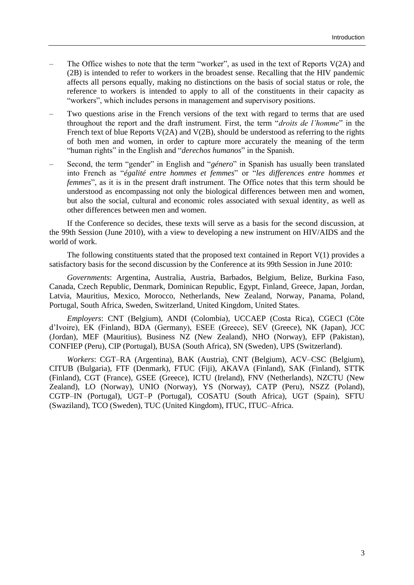- The Office wishes to note that the term "worker", as used in the text of Reports  $V(2A)$  and (2B) is intended to refer to workers in the broadest sense. Recalling that the HIV pandemic affects all persons equally, making no distinctions on the basis of social status or role, the reference to workers is intended to apply to all of the constituents in their capacity as "workers", which includes persons in management and supervisory positions.
- Two questions arise in the French versions of the text with regard to terms that are used throughout the report and the draft instrument. First, the term "*droits de l'homme*" in the French text of blue Reports V(2A) and V(2B), should be understood as referring to the rights of both men and women, in order to capture more accurately the meaning of the term "human rights" in the English and "*derechos humanos*" in the Spanish.
- Second, the term "gender" in English and "*género*" in Spanish has usually been translated into French as "*égalité entre hommes et femmes*" or "*les differences entre hommes et femmes*", as it is in the present draft instrument. The Office notes that this term should be understood as encompassing not only the biological differences between men and women, but also the social, cultural and economic roles associated with sexual identity, as well as other differences between men and women.

If the Conference so decides, these texts will serve as a basis for the second discussion, at the 99th Session (June 2010), with a view to developing a new instrument on HIV/AIDS and the world of work.

The following constituents stated that the proposed text contained in Report V(1) provides a satisfactory basis for the second discussion by the Conference at its 99th Session in June 2010:

*Governments*: Argentina, Australia, Austria, Barbados, Belgium, Belize, Burkina Faso, Canada, Czech Republic, Denmark, Dominican Republic, Egypt, Finland, Greece, Japan, Jordan, Latvia, Mauritius, Mexico, Morocco, Netherlands, New Zealand, Norway, Panama, Poland, Portugal, South Africa, Sweden, Switzerland, United Kingdom, United States.

*Employers*: CNT (Belgium), ANDI (Colombia), UCCAEP (Costa Rica), CGECI (Côte d"Ivoire), EK (Finland), BDA (Germany), ESEE (Greece), SEV (Greece), NK (Japan), JCC (Jordan), MEF (Mauritius), Business NZ (New Zealand), NHO (Norway), EFP (Pakistan), CONFIEP (Peru), CIP (Portugal), BUSA (South Africa), SN (Sweden), UPS (Switzerland).

*Workers*: CGT–RA (Argentina), BAK (Austria), CNT (Belgium), ACV–CSC (Belgium), CITUB (Bulgaria), FTF (Denmark), FTUC (Fiji), AKAVA (Finland), SAK (Finland), STTK (Finland), CGT (France), GSEE (Greece), ICTU (Ireland), FNV (Netherlands), NZCTU (New Zealand), LO (Norway), UNIO (Norway), YS (Norway), CATP (Peru), NSZZ (Poland), CGTP–IN (Portugal), UGT–P (Portugal), COSATU (South Africa), UGT (Spain), SFTU (Swaziland), TCO (Sweden), TUC (United Kingdom), ITUC, ITUC–Africa.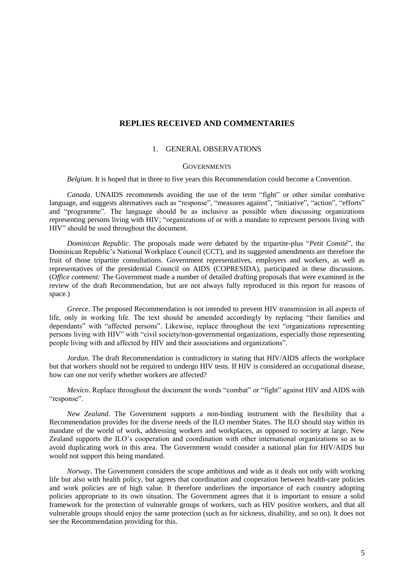# **REPLIES RECEIVED AND COMMENTARIES**

# 1. GENERAL OBSERVATIONS

# **GOVERNMENTS**

*Belgium*. It is hoped that in three to five years this Recommendation could become a Convention.

*Canada*. UNAIDS recommends avoiding the use of the term "fight" or other similar combative language, and suggests alternatives such as "response", "measures against", "initiative", "action", "efforts" and "programme". The language should be as inclusive as possible when discussing organizations representing persons living with HIV; "organizations of or with a mandate to represent persons living with HIV" should be used throughout the document.

*Dominican Republic*. The proposals made were debated by the tripartite-plus "*Petit Comité*", the Dominican Republic"s National Workplace Council (CCT), and its suggested amendments are therefore the fruit of those tripartite consultations. Government representatives, employers and workers, as well as representatives of the presidential Council on AIDS (COPRESIDA), participated in these discussions. (*Office comment:* The Government made a number of detailed drafting proposals that were examined in the review of the draft Recommendation, but are not always fully reproduced in this report for reasons of space.)

*Greece*. The proposed Recommendation is not intended to prevent HIV transmission in all aspects of life, only in working life. The text should be amended accordingly by replacing "their families and dependants" with "affected persons". Likewise, replace throughout the text "organizations representing persons living with HIV" with "civil society/non-governmental organizations, especially those representing people living with and affected by HIV and their associations and organizations".

*Jordan*. The draft Recommendation is contradictory in stating that HIV/AIDS affects the workplace but that workers should not be required to undergo HIV tests. If HIV is considered an occupational disease, how can one not verify whether workers are affected?

*Mexico*. Replace throughout the document the words "combat" or "fight" against HIV and AIDS with "response".

*New Zealand*. The Government supports a non-binding instrument with the flexibility that a Recommendation provides for the diverse needs of the ILO member States. The ILO should stay within its mandate of the world of work, addressing workers and workplaces, as opposed to society at large. New Zealand supports the ILO"s cooperation and coordination with other international organizations so as to avoid duplicating work in this area. The Government would consider a national plan for HIV/AIDS but would not support this being mandated.

*Norway*. The Government considers the scope ambitious and wide as it deals not only with working life but also with health policy, but agrees that coordination and cooperation between health-care policies and work policies are of high value. It therefore underlines the importance of each country adopting policies appropriate to its own situation. The Government agrees that it is important to ensure a solid framework for the protection of vulnerable groups of workers, such as HIV positive workers, and that all vulnerable groups should enjoy the same protection (such as for sickness, disability, and so on). It does not see the Recommendation providing for this.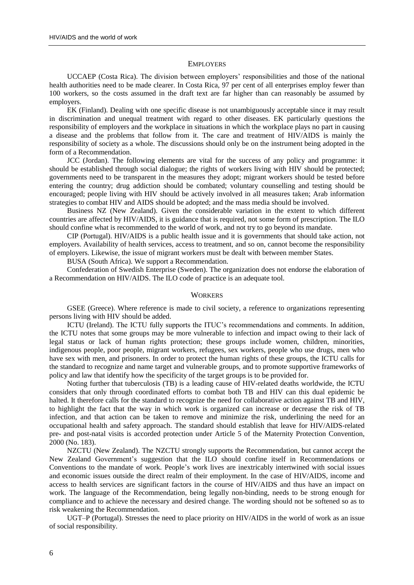#### **EMPLOYERS**

UCCAEP (Costa Rica). The division between employers" responsibilities and those of the national health authorities need to be made clearer. In Costa Rica, 97 per cent of all enterprises employ fewer than 100 workers, so the costs assumed in the draft text are far higher than can reasonably be assumed by employers.

EK (Finland). Dealing with one specific disease is not unambiguously acceptable since it may result in discrimination and unequal treatment with regard to other diseases. EK particularly questions the responsibility of employers and the workplace in situations in which the workplace plays no part in causing a disease and the problems that follow from it. The care and treatment of HIV/AIDS is mainly the responsibility of society as a whole. The discussions should only be on the instrument being adopted in the form of a Recommendation.

JCC (Jordan). The following elements are vital for the success of any policy and programme: it should be established through social dialogue; the rights of workers living with HIV should be protected; governments need to be transparent in the measures they adopt; migrant workers should be tested before entering the country; drug addiction should be combated; voluntary counselling and testing should be encouraged; people living with HIV should be actively involved in all measures taken; Arab information strategies to combat HIV and AIDS should be adopted; and the mass media should be involved.

Business NZ (New Zealand). Given the considerable variation in the extent to which different countries are affected by HIV/AIDS, it is guidance that is required, not some form of prescription. The ILO should confine what is recommended to the world of work, and not try to go beyond its mandate.

CIP (Portugal). HIV/AIDS is a public health issue and it is governments that should take action, not employers. Availability of health services, access to treatment, and so on, cannot become the responsibility of employers. Likewise, the issue of migrant workers must be dealt with between member States.

BUSA (South Africa). We support a Recommendation.

Confederation of Swedish Enterprise (Sweden). The organization does not endorse the elaboration of a Recommendation on HIV/AIDS. The ILO code of practice is an adequate tool.

### **WORKERS**

GSEE (Greece). Where reference is made to civil society, a reference to organizations representing persons living with HIV should be added.

ICTU (Ireland). The ICTU fully supports the ITUC"s recommendations and comments. In addition, the ICTU notes that some groups may be more vulnerable to infection and impact owing to their lack of legal status or lack of human rights protection; these groups include women, children, minorities, indigenous people, poor people, migrant workers, refugees, sex workers, people who use drugs, men who have sex with men, and prisoners. In order to protect the human rights of these groups, the ICTU calls for the standard to recognize and name target and vulnerable groups, and to promote supportive frameworks of policy and law that identify how the specificity of the target groups is to be provided for.

Noting further that tuberculosis (TB) is a leading cause of HIV-related deaths worldwide, the ICTU considers that only through coordinated efforts to combat both TB and HIV can this dual epidemic be halted. It therefore calls for the standard to recognize the need for collaborative action against TB and HIV, to highlight the fact that the way in which work is organized can increase or decrease the risk of TB infection, and that action can be taken to remove and minimize the risk, underlining the need for an occupational health and safety approach. The standard should establish that leave for HIV/AIDS-related pre- and post-natal visits is accorded protection under Article 5 of the Maternity Protection Convention, 2000 (No. 183).

NZCTU (New Zealand). The NZCTU strongly supports the Recommendation, but cannot accept the New Zealand Government"s suggestion that the ILO should confine itself in Recommendations or Conventions to the mandate of work. People"s work lives are inextricably intertwined with social issues and economic issues outside the direct realm of their employment. In the case of HIV/AIDS, income and access to health services are significant factors in the course of HIV/AIDS and thus have an impact on work. The language of the Recommendation, being legally non-binding, needs to be strong enough for compliance and to achieve the necessary and desired change. The wording should not be softened so as to risk weakening the Recommendation.

UGT–P (Portugal). Stresses the need to place priority on HIV/AIDS in the world of work as an issue of social responsibility.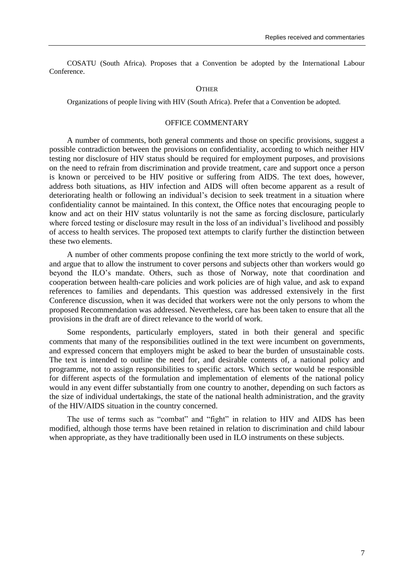COSATU (South Africa). Proposes that a Convention be adopted by the International Labour Conference.

#### **OTHER**

Organizations of people living with HIV (South Africa). Prefer that a Convention be adopted.

# OFFICE COMMENTARY

A number of comments, both general comments and those on specific provisions, suggest a possible contradiction between the provisions on confidentiality, according to which neither HIV testing nor disclosure of HIV status should be required for employment purposes, and provisions on the need to refrain from discrimination and provide treatment, care and support once a person is known or perceived to be HIV positive or suffering from AIDS. The text does, however, address both situations, as HIV infection and AIDS will often become apparent as a result of deteriorating health or following an individual"s decision to seek treatment in a situation where confidentiality cannot be maintained. In this context, the Office notes that encouraging people to know and act on their HIV status voluntarily is not the same as forcing disclosure, particularly where forced testing or disclosure may result in the loss of an individual's livelihood and possibly of access to health services. The proposed text attempts to clarify further the distinction between these two elements.

A number of other comments propose confining the text more strictly to the world of work, and argue that to allow the instrument to cover persons and subjects other than workers would go beyond the ILO"s mandate. Others, such as those of Norway, note that coordination and cooperation between health-care policies and work policies are of high value, and ask to expand references to families and dependants. This question was addressed extensively in the first Conference discussion, when it was decided that workers were not the only persons to whom the proposed Recommendation was addressed. Nevertheless, care has been taken to ensure that all the provisions in the draft are of direct relevance to the world of work.

Some respondents, particularly employers, stated in both their general and specific comments that many of the responsibilities outlined in the text were incumbent on governments, and expressed concern that employers might be asked to bear the burden of unsustainable costs. The text is intended to outline the need for, and desirable contents of, a national policy and programme, not to assign responsibilities to specific actors. Which sector would be responsible for different aspects of the formulation and implementation of elements of the national policy would in any event differ substantially from one country to another, depending on such factors as the size of individual undertakings, the state of the national health administration, and the gravity of the HIV/AIDS situation in the country concerned.

The use of terms such as "combat" and "fight" in relation to HIV and AIDS has been modified, although those terms have been retained in relation to discrimination and child labour when appropriate, as they have traditionally been used in ILO instruments on these subjects.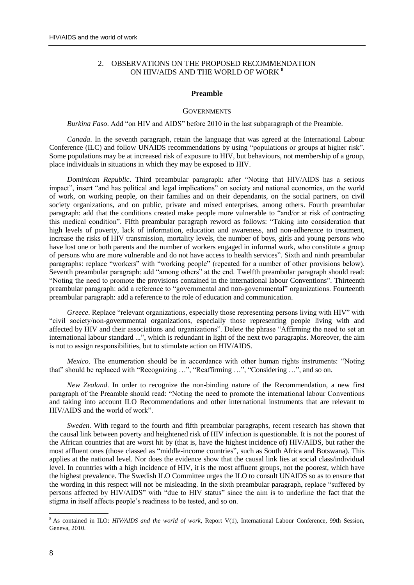# 2. OBSERVATIONS ON THE PROPOSED RECOMMENDATION ON HIV/AIDS AND THE WORLD OF WORK **<sup>8</sup>**

#### **Preamble**

#### **GOVERNMENTS**

*Burkina Faso*. Add "on HIV and AIDS" before 2010 in the last subparagraph of the Preamble.

*Canada*. In the seventh paragraph, retain the language that was agreed at the International Labour Conference (ILC) and follow UNAIDS recommendations by using "populations or groups at higher risk". Some populations may be at increased risk of exposure to HIV, but behaviours, not membership of a group, place individuals in situations in which they may be exposed to HIV.

*Dominican Republic*. Third preambular paragraph: after "Noting that HIV/AIDS has a serious impact", insert "and has political and legal implications" on society and national economies, on the world of work, on working people, on their families and on their dependants, on the social partners, on civil society organizations, and on public, private and mixed enterprises, among others. Fourth preambular paragraph: add that the conditions created make people more vulnerable to "and/or at risk of contracting this medical condition". Fifth preambular paragraph reword as follows: "Taking into consideration that high levels of poverty, lack of information, education and awareness, and non-adherence to treatment, increase the risks of HIV transmission, mortality levels, the number of boys, girls and young persons who have lost one or both parents and the number of workers engaged in informal work, who constitute a group of persons who are more vulnerable and do not have access to health services". Sixth and ninth preambular paragraphs: replace "workers" with "working people" (repeated for a number of other provisions below). Seventh preambular paragraph: add "among others" at the end. Twelfth preambular paragraph should read: "Noting the need to promote the provisions contained in the international labour Conventions". Thirteenth preambular paragraph: add a reference to "governmental and non-governmental" organizations. Fourteenth preambular paragraph: add a reference to the role of education and communication.

*Greece*. Replace "relevant organizations, especially those representing persons living with HIV" with "civil society/non-governmental organizations, especially those representing people living with and affected by HIV and their associations and organizations". Delete the phrase "Affirming the need to set an international labour standard ...", which is redundant in light of the next two paragraphs. Moreover, the aim is not to assign responsibilities, but to stimulate action on HIV/AIDS.

*Mexico*. The enumeration should be in accordance with other human rights instruments: "Noting that" should be replaced with "Recognizing …", "Reaffirming …", "Considering …", and so on.

*New Zealand*. In order to recognize the non-binding nature of the Recommendation, a new first paragraph of the Preamble should read: "Noting the need to promote the international labour Conventions and taking into account ILO Recommendations and other international instruments that are relevant to HIV/AIDS and the world of work".

*Sweden*. With regard to the fourth and fifth preambular paragraphs, recent research has shown that the causal link between poverty and heightened risk of HIV infection is questionable. It is not the poorest of the African countries that are worst hit by (that is, have the highest incidence of) HIV/AIDS, but rather the most affluent ones (those classed as "middle-income countries", such as South Africa and Botswana). This applies at the national level. Nor does the evidence show that the causal link lies at social class/individual level. In countries with a high incidence of HIV, it is the most affluent groups, not the poorest, which have the highest prevalence. The Swedish ILO Committee urges the ILO to consult UNAIDS so as to ensure that the wording in this respect will not be misleading. In the sixth preambular paragraph, replace "suffered by persons affected by HIV/AIDS" with "due to HIV status" since the aim is to underline the fact that the stigma in itself affects people"s readiness to be tested, and so on.

<sup>8</sup> As contained in ILO: *HIV/AIDS and the world of work*, Report V(1), International Labour Conference, 99th Session, Geneva, 2010.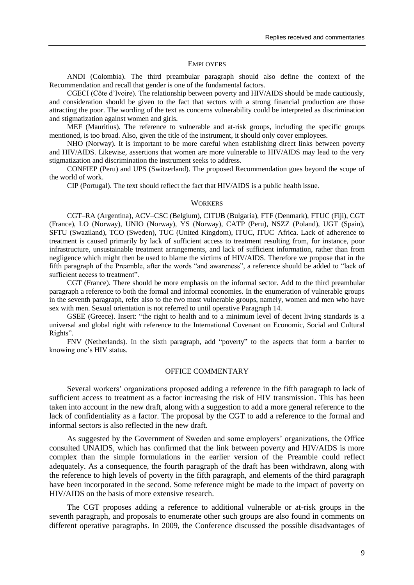#### **EMPLOYERS**

ANDI (Colombia). The third preambular paragraph should also define the context of the Recommendation and recall that gender is one of the fundamental factors.

CGECI (Côte d"Ivoire). The relationship between poverty and HIV/AIDS should be made cautiously, and consideration should be given to the fact that sectors with a strong financial production are those attracting the poor. The wording of the text as concerns vulnerability could be interpreted as discrimination and stigmatization against women and girls.

MEF (Mauritius). The reference to vulnerable and at-risk groups, including the specific groups mentioned, is too broad. Also, given the title of the instrument, it should only cover employees.

NHO (Norway). It is important to be more careful when establishing direct links between poverty and HIV/AIDS. Likewise, assertions that women are more vulnerable to HIV/AIDS may lead to the very stigmatization and discrimination the instrument seeks to address.

CONFIEP (Peru) and UPS (Switzerland). The proposed Recommendation goes beyond the scope of the world of work.

CIP (Portugal). The text should reflect the fact that HIV/AIDS is a public health issue.

#### **WORKERS**

CGT–RA (Argentina), ACV–CSC (Belgium), CITUB (Bulgaria), FTF (Denmark), FTUC (Fiji), CGT (France), LO (Norway), UNIO (Norway), YS (Norway), CATP (Peru), NSZZ (Poland), UGT (Spain), SFTU (Swaziland), TCO (Sweden), TUC (United Kingdom), ITUC, ITUC–Africa. Lack of adherence to treatment is caused primarily by lack of sufficient access to treatment resulting from, for instance, poor infrastructure, unsustainable treatment arrangements, and lack of sufficient information, rather than from negligence which might then be used to blame the victims of HIV/AIDS. Therefore we propose that in the fifth paragraph of the Preamble, after the words "and awareness", a reference should be added to "lack of sufficient access to treatment".

CGT (France). There should be more emphasis on the informal sector. Add to the third preambular paragraph a reference to both the formal and informal economies. In the enumeration of vulnerable groups in the seventh paragraph, refer also to the two most vulnerable groups, namely, women and men who have sex with men. Sexual orientation is not referred to until operative Paragraph 14.

GSEE (Greece). Insert: "the right to health and to a minimum level of decent living standards is a universal and global right with reference to the International Covenant on Economic, Social and Cultural Rights".

FNV (Netherlands). In the sixth paragraph, add "poverty" to the aspects that form a barrier to knowing one"s HIV status.

# OFFICE COMMENTARY

Several workers" organizations proposed adding a reference in the fifth paragraph to lack of sufficient access to treatment as a factor increasing the risk of HIV transmission. This has been taken into account in the new draft, along with a suggestion to add a more general reference to the lack of confidentiality as a factor. The proposal by the CGT to add a reference to the formal and informal sectors is also reflected in the new draft.

As suggested by the Government of Sweden and some employers" organizations, the Office consulted UNAIDS, which has confirmed that the link between poverty and HIV/AIDS is more complex than the simple formulations in the earlier version of the Preamble could reflect adequately. As a consequence, the fourth paragraph of the draft has been withdrawn, along with the reference to high levels of poverty in the fifth paragraph, and elements of the third paragraph have been incorporated in the second. Some reference might be made to the impact of poverty on HIV/AIDS on the basis of more extensive research.

The CGT proposes adding a reference to additional vulnerable or at-risk groups in the seventh paragraph, and proposals to enumerate other such groups are also found in comments on different operative paragraphs. In 2009, the Conference discussed the possible disadvantages of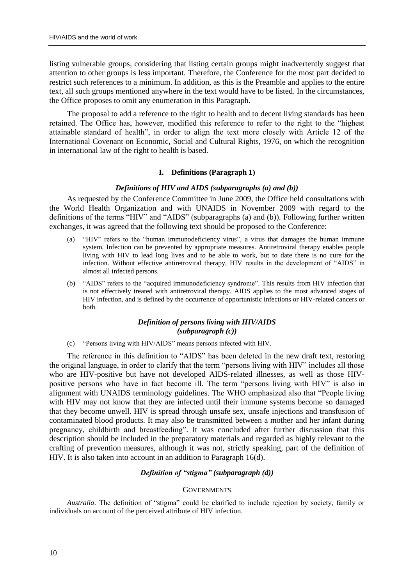listing vulnerable groups, considering that listing certain groups might inadvertently suggest that attention to other groups is less important. Therefore, the Conference for the most part decided to restrict such references to a minimum. In addition, as this is the Preamble and applies to the entire text, all such groups mentioned anywhere in the text would have to be listed. In the circumstances, the Office proposes to omit any enumeration in this Paragraph.

The proposal to add a reference to the right to health and to decent living standards has been retained. The Office has, however, modified this reference to refer to the right to the "highest attainable standard of health", in order to align the text more closely with Article 12 of the International Covenant on Economic, Social and Cultural Rights, 1976, on which the recognition in international law of the right to health is based.

# **I. Definitions (Paragraph 1)**

# *Definitions of HIV and AIDS (subparagraphs (a) and (b))*

As requested by the Conference Committee in June 2009, the Office held consultations with the World Health Organization and with UNAIDS in November 2009 with regard to the definitions of the terms "HIV" and "AIDS" (subparagraphs (a) and (b)). Following further written exchanges, it was agreed that the following text should be proposed to the Conference:

- (a) "HIV" refers to the "human immunodeficiency virus", a virus that damages the human immune system. Infection can be prevented by appropriate measures. Antiretroviral therapy enables people living with HIV to lead long lives and to be able to work, but to date there is no cure for the infection. Without effective antiretroviral therapy, HIV results in the development of "AIDS" in almost all infected persons.
- (b) "AIDS" refers to the "acquired immunodeficiency syndrome". This results from HIV infection that is not effectively treated with antiretroviral therapy. AIDS applies to the most advanced stages of HIV infection, and is defined by the occurrence of opportunistic infections or HIV-related cancers or both.

# *Definition of persons living with HIV/AIDS (subparagraph (c))*

(c) "Persons living with HIV/AIDS" means persons infected with HIV.

The reference in this definition to "AIDS" has been deleted in the new draft text, restoring the original language, in order to clarify that the term "persons living with HIV" includes all those who are HIV-positive but have not developed AIDS-related illnesses, as well as those HIVpositive persons who have in fact become ill. The term "persons living with HIV" is also in alignment with UNAIDS terminology guidelines. The WHO emphasized also that "People living with HIV may not know that they are infected until their immune systems become so damaged that they become unwell. HIV is spread through unsafe sex, unsafe injections and transfusion of contaminated blood products. It may also be transmitted between a mother and her infant during pregnancy, childbirth and breastfeeding". It was concluded after further discussion that this description should be included in the preparatory materials and regarded as highly relevant to the crafting of prevention measures, although it was not, strictly speaking, part of the definition of HIV. It is also taken into account in an addition to Paragraph 16(d).

# *Definition of "stigma" (subparagraph (d))*

# **GOVERNMENTS**

*Australia*. The definition of "stigma" could be clarified to include rejection by society, family or individuals on account of the perceived attribute of HIV infection.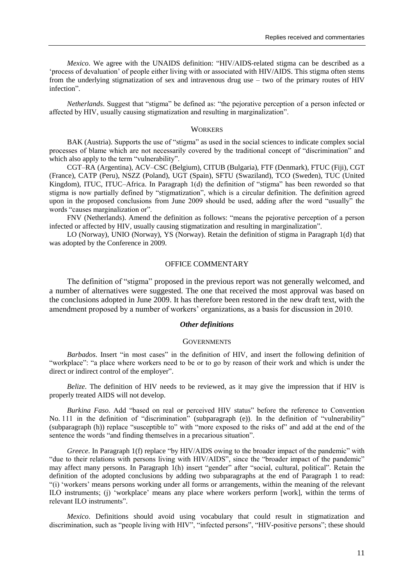*Mexico*. We agree with the UNAIDS definition: "HIV/AIDS-related stigma can be described as a "process of devaluation" of people either living with or associated with HIV/AIDS. This stigma often stems from the underlying stigmatization of sex and intravenous drug use – two of the primary routes of HIV infection".

*Netherlands*. Suggest that "stigma" be defined as: "the pejorative perception of a person infected or affected by HIV, usually causing stigmatization and resulting in marginalization".

#### **WORKERS**

BAK (Austria). Supports the use of "stigma" as used in the social sciences to indicate complex social processes of blame which are not necessarily covered by the traditional concept of "discrimination" and which also apply to the term "vulnerability".

CGT–RA (Argentina), ACV–CSC (Belgium), CITUB (Bulgaria), FTF (Denmark), FTUC (Fiji), CGT (France), CATP (Peru), NSZZ (Poland), UGT (Spain), SFTU (Swaziland), TCO (Sweden), TUC (United Kingdom), ITUC, ITUC–Africa. In Paragraph 1(d) the definition of "stigma" has been reworded so that stigma is now partially defined by "stigmatization", which is a circular definition. The definition agreed upon in the proposed conclusions from June 2009 should be used, adding after the word "usually" the words "causes marginalization or".

FNV (Netherlands). Amend the definition as follows: "means the pejorative perception of a person infected or affected by HIV, usually causing stigmatization and resulting in marginalization".

LO (Norway), UNIO (Norway), YS (Norway). Retain the definition of stigma in Paragraph 1(d) that was adopted by the Conference in 2009.

# OFFICE COMMENTARY

The definition of "stigma" proposed in the previous report was not generally welcomed, and a number of alternatives were suggested. The one that received the most approval was based on the conclusions adopted in June 2009. It has therefore been restored in the new draft text, with the amendment proposed by a number of workers" organizations, as a basis for discussion in 2010.

# *Other definitions*

#### **GOVERNMENTS**

*Barbados*. Insert "in most cases" in the definition of HIV, and insert the following definition of "workplace": "a place where workers need to be or to go by reason of their work and which is under the direct or indirect control of the employer".

*Belize*. The definition of HIV needs to be reviewed, as it may give the impression that if HIV is properly treated AIDS will not develop.

*Burkina Faso*. Add "based on real or perceived HIV status" before the reference to Convention No. 111 in the definition of "discrimination" (subparagraph (e)). In the definition of "vulnerability" (subparagraph (h)) replace "susceptible to" with "more exposed to the risks of" and add at the end of the sentence the words "and finding themselves in a precarious situation".

*Greece*. In Paragraph 1(f) replace "by HIV/AIDS owing to the broader impact of the pandemic" with "due to their relations with persons living with HIV/AIDS", since the "broader impact of the pandemic" may affect many persons. In Paragraph 1(h) insert "gender" after "social, cultural, political". Retain the definition of the adopted conclusions by adding two subparagraphs at the end of Paragraph 1 to read: "(i) "workers" means persons working under all forms or arrangements, within the meaning of the relevant ILO instruments; (j) "workplace" means any place where workers perform [work], within the terms of relevant ILO instruments".

*Mexico*. Definitions should avoid using vocabulary that could result in stigmatization and discrimination, such as "people living with HIV", "infected persons", "HIV-positive persons"; these should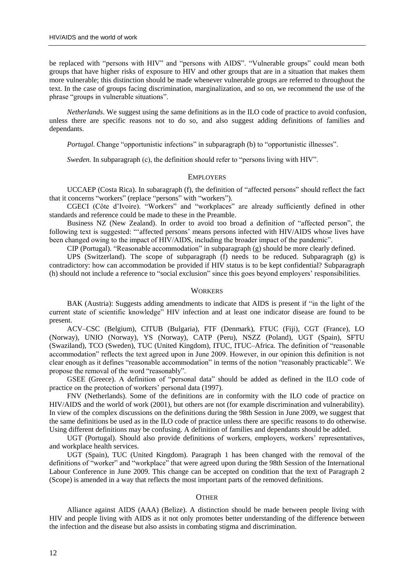be replaced with "persons with HIV" and "persons with AIDS". "Vulnerable groups" could mean both groups that have higher risks of exposure to HIV and other groups that are in a situation that makes them more vulnerable; this distinction should be made whenever vulnerable groups are referred to throughout the text. In the case of groups facing discrimination, marginalization, and so on, we recommend the use of the phrase "groups in vulnerable situations".

*Netherlands*. We suggest using the same definitions as in the ILO code of practice to avoid confusion, unless there are specific reasons not to do so, and also suggest adding definitions of families and dependants.

*Portugal*. Change "opportunistic infections" in subparagraph (b) to "opportunistic illnesses".

*Sweden*. In subparagraph (c), the definition should refer to "persons living with HIV".

#### **EMPLOYERS**

UCCAEP (Costa Rica). In subaragraph (f), the definition of "affected persons" should reflect the fact that it concerns "workers" (replace "persons" with "workers").

CGECI (Côte d"Ivoire). "Workers" and "workplaces" are already sufficiently defined in other standards and reference could be made to these in the Preamble.

Business NZ (New Zealand). In order to avoid too broad a definition of "affected person", the following text is suggested: ""affected persons' means persons infected with HIV/AIDS whose lives have been changed owing to the impact of HIV/AIDS, including the broader impact of the pandemic".

CIP (Portugal). "Reasonable accommodation" in subparagraph (g) should be more clearly defined.

UPS (Switzerland). The scope of subparagraph (f) needs to be reduced. Subparagraph (g) is contradictory: how can accommodation be provided if HIV status is to be kept confidential? Subparagraph (h) should not include a reference to "social exclusion" since this goes beyond employers' responsibilities.

#### **WORKERS**

BAK (Austria): Suggests adding amendments to indicate that AIDS is present if "in the light of the current state of scientific knowledge" HIV infection and at least one indicator disease are found to be present.

ACV–CSC (Belgium), CITUB (Bulgaria), FTF (Denmark), FTUC (Fiji), CGT (France), LO (Norway), UNIO (Norway), YS (Norway), CATP (Peru), NSZZ (Poland), UGT (Spain), SFTU (Swaziland), TCO (Sweden), TUC (United Kingdom), ITUC, ITUC–Africa. The definition of "reasonable accommodation" reflects the text agreed upon in June 2009. However, in our opinion this definition is not clear enough as it defines "reasonable accommodation" in terms of the notion "reasonably practicable". We propose the removal of the word "reasonably".

GSEE (Greece). A definition of "personal data" should be added as defined in the ILO code of practice on the protection of workers" personal data (1997).

FNV (Netherlands). Some of the definitions are in conformity with the ILO code of practice on HIV/AIDS and the world of work (2001), but others are not (for example discrimination and vulnerability). In view of the complex discussions on the definitions during the 98th Session in June 2009, we suggest that the same definitions be used as in the ILO code of practice unless there are specific reasons to do otherwise. Using different definitions may be confusing. A definition of families and dependants should be added.

UGT (Portugal). Should also provide definitions of workers, employers, workers" representatives, and workplace health services.

UGT (Spain), TUC (United Kingdom). Paragraph 1 has been changed with the removal of the definitions of "worker" and "workplace" that were agreed upon during the 98th Session of the International Labour Conference in June 2009. This change can be accepted on condition that the text of Paragraph 2 (Scope) is amended in a way that reflects the most important parts of the removed definitions.

# **OTHER**

Alliance against AIDS (AAA) (Belize). A distinction should be made between people living with HIV and people living with AIDS as it not only promotes better understanding of the difference between the infection and the disease but also assists in combating stigma and discrimination.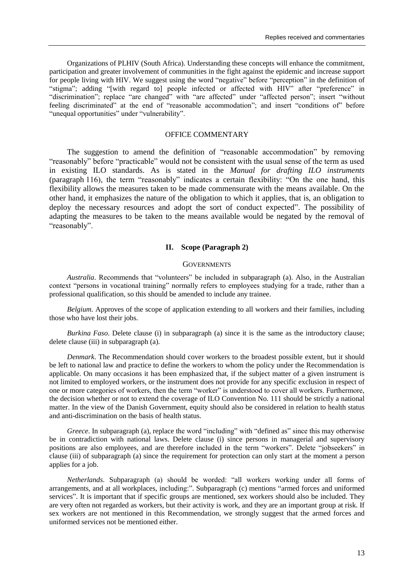Organizations of PLHIV (South Africa). Understanding these concepts will enhance the commitment, participation and greater involvement of communities in the fight against the epidemic and increase support for people living with HIV. We suggest using the word "negative" before "perception" in the definition of "stigma"; adding "[with regard to] people infected or affected with HIV" after "preference" in "discrimination"; replace "are changed" with "are affected" under "affected person"; insert "without feeling discriminated" at the end of "reasonable accommodation"; and insert "conditions of" before "unequal opportunities" under "vulnerability".

# OFFICE COMMENTARY

The suggestion to amend the definition of "reasonable accommodation" by removing "reasonably" before "practicable" would not be consistent with the usual sense of the term as used in existing ILO standards. As is stated in the *Manual for drafting ILO instruments*  (paragraph 116), the term "reasonably" indicates a certain flexibility: "On the one hand, this flexibility allows the measures taken to be made commensurate with the means available. On the other hand, it emphasizes the nature of the obligation to which it applies, that is, an obligation to deploy the necessary resources and adopt the sort of conduct expected". The possibility of adapting the measures to be taken to the means available would be negated by the removal of "reasonably".

# **II. Scope (Paragraph 2)**

# **GOVERNMENTS**

*Australia*. Recommends that "volunteers" be included in subparagraph (a). Also, in the Australian context "persons in vocational training" normally refers to employees studying for a trade, rather than a professional qualification, so this should be amended to include any trainee.

*Belgium*. Approves of the scope of application extending to all workers and their families, including those who have lost their jobs.

*Burkina Faso*. Delete clause (i) in subparagraph (a) since it is the same as the introductory clause; delete clause (iii) in subparagraph (a).

*Denmark*. The Recommendation should cover workers to the broadest possible extent, but it should be left to national law and practice to define the workers to whom the policy under the Recommendation is applicable. On many occasions it has been emphasized that, if the subject matter of a given instrument is not limited to employed workers, or the instrument does not provide for any specific exclusion in respect of one or more categories of workers, then the term "worker" is understood to cover all workers. Furthermore, the decision whether or not to extend the coverage of ILO Convention No. 111 should be strictly a national matter. In the view of the Danish Government, equity should also be considered in relation to health status and anti-discrimination on the basis of health status.

*Greece*. In subparagraph (a), replace the word "including" with "defined as" since this may otherwise be in contradiction with national laws. Delete clause (i) since persons in managerial and supervisory positions are also employees, and are therefore included in the term "workers". Delete "jobseekers" in clause (iii) of subparagraph (a) since the requirement for protection can only start at the moment a person applies for a job.

*Netherlands*. Subparagraph (a) should be worded: "all workers working under all forms of arrangements, and at all workplaces, including:". Subparagraph (c) mentions "armed forces and uniformed services". It is important that if specific groups are mentioned, sex workers should also be included. They are very often not regarded as workers, but their activity is work, and they are an important group at risk. If sex workers are not mentioned in this Recommendation, we strongly suggest that the armed forces and uniformed services not be mentioned either.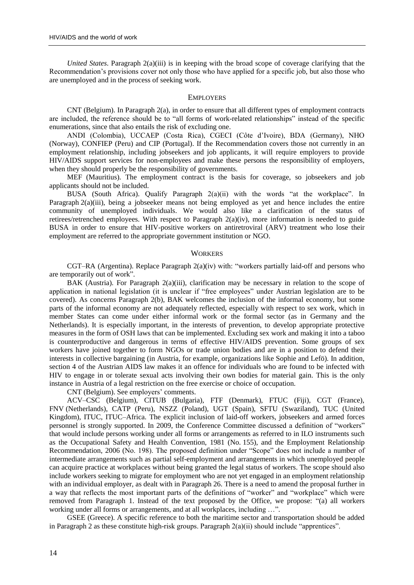*United States*. Paragraph 2(a)(iii) is in keeping with the broad scope of coverage clarifying that the Recommendation"s provisions cover not only those who have applied for a specific job, but also those who are unemployed and in the process of seeking work.

#### **EMPLOYERS**

CNT (Belgium). In Paragraph 2(a), in order to ensure that all different types of employment contracts are included, the reference should be to "all forms of work-related relationships" instead of the specific enumerations, since that also entails the risk of excluding one.

ANDI (Colombia), UCCAEP (Costa Rica), CGECI (Côte d"Ivoire), BDA (Germany), NHO (Norway), CONFIEP (Peru) and CIP (Portugal). If the Recommendation covers those not currently in an employment relationship, including jobseekers and job applicants, it will require employers to provide HIV/AIDS support services for non-employees and make these persons the responsibility of employers, when they should properly be the responsibility of governments.

MEF (Mauritius). The employment contract is the basis for coverage, so jobseekers and job applicants should not be included.

BUSA (South Africa). Qualify Paragraph 2(a)(ii) with the words "at the workplace". In Paragraph 2(a)(iii), being a jobseeker means not being employed as yet and hence includes the entire community of unemployed individuals. We would also like a clarification of the status of retirees/retrenched employees. With respect to Paragraph 2(a)(iv), more information is needed to guide BUSA in order to ensure that HIV-positive workers on antiretroviral (ARV) treatment who lose their employment are referred to the appropriate government institution or NGO.

#### **WORKERS**

CGT–RA (Argentina). Replace Paragraph 2(a)(iv) with: "workers partially laid-off and persons who are temporarily out of work".

BAK (Austria). For Paragraph 2(a)(iii), clarification may be necessary in relation to the scope of application in national legislation (it is unclear if "free employees" under Austrian legislation are to be covered). As concerns Paragraph 2(b), BAK welcomes the inclusion of the informal economy, but some parts of the informal economy are not adequately reflected, especially with respect to sex work, which in member States can come under either informal work or the formal sector (as in Germany and the Netherlands). It is especially important, in the interests of prevention, to develop appropriate protective measures in the form of OSH laws that can be implemented. Excluding sex work and making it into a taboo is counterproductive and dangerous in terms of effective HIV/AIDS prevention. Some groups of sex workers have joined together to form NGOs or trade union bodies and are in a position to defend their interests in collective bargaining (in Austria, for example, organizations like Sophie and Lefö). In addition, section 4 of the Austrian AIDS law makes it an offence for individuals who are found to be infected with HIV to engage in or tolerate sexual acts involving their own bodies for material gain. This is the only instance in Austria of a legal restriction on the free exercise or choice of occupation.

CNT (Belgium). See employers' comments.

ACV–CSC (Belgium), CITUB (Bulgaria), FTF (Denmark), FTUC (Fiji), CGT (France), FNV (Netherlands), CATP (Peru), NSZZ (Poland), UGT (Spain), SFTU (Swaziland), TUC (United Kingdom), ITUC, ITUC–Africa. The explicit inclusion of laid-off workers, jobseekers and armed forces personnel is strongly supported. In 2009, the Conference Committee discussed a definition of "workers" that would include persons working under all forms or arrangements as referred to in ILO instruments such as the Occupational Safety and Health Convention, 1981 (No. 155), and the Employment Relationship Recommendation, 2006 (No. 198). The proposed definition under "Scope" does not include a number of intermediate arrangements such as partial self-employment and arrangements in which unemployed people can acquire practice at workplaces without being granted the legal status of workers. The scope should also include workers seeking to migrate for employment who are not yet engaged in an employment relationship with an individual employer, as dealt with in Paragraph 26. There is a need to amend the proposal further in a way that reflects the most important parts of the definitions of "worker" and "workplace" which were removed from Paragraph 1. Instead of the text proposed by the Office, we propose: "(a) all workers working under all forms or arrangements, and at all workplaces, including …".

GSEE (Greece). A specific reference to both the maritime sector and transportation should be added in Paragraph 2 as these constitute high-risk groups. Paragraph  $2(a)(ii)$  should include "apprentices".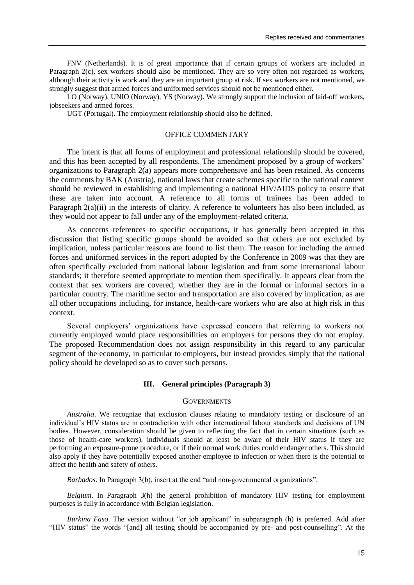FNV (Netherlands). It is of great importance that if certain groups of workers are included in Paragraph 2(c), sex workers should also be mentioned. They are so very often not regarded as workers, although their activity is work and they are an important group at risk. If sex workers are not mentioned, we strongly suggest that armed forces and uniformed services should not be mentioned either.

LO (Norway), UNIO (Norway), YS (Norway). We strongly support the inclusion of laid-off workers, jobseekers and armed forces.

UGT (Portugal). The employment relationship should also be defined.

# OFFICE COMMENTARY

The intent is that all forms of employment and professional relationship should be covered, and this has been accepted by all respondents. The amendment proposed by a group of workers" organizations to Paragraph 2(a) appears more comprehensive and has been retained. As concerns the comments by BAK (Austria), national laws that create schemes specific to the national context should be reviewed in establishing and implementing a national HIV/AIDS policy to ensure that these are taken into account. A reference to all forms of trainees has been added to Paragraph 2(a)(ii) in the interests of clarity. A reference to volunteers has also been included, as they would not appear to fall under any of the employment-related criteria.

As concerns references to specific occupations, it has generally been accepted in this discussion that listing specific groups should be avoided so that others are not excluded by implication, unless particular reasons are found to list them. The reason for including the armed forces and uniformed services in the report adopted by the Conference in 2009 was that they are often specifically excluded from national labour legislation and from some international labour standards; it therefore seemed appropriate to mention them specifically. It appears clear from the context that sex workers are covered, whether they are in the formal or informal sectors in a particular country. The maritime sector and transportation are also covered by implication, as are all other occupations including, for instance, health-care workers who are also at high risk in this context.

Several employers' organizations have expressed concern that referring to workers not currently employed would place responsibilities on employers for persons they do not employ. The proposed Recommendation does not assign responsibility in this regard to any particular segment of the economy, in particular to employers, but instead provides simply that the national policy should be developed so as to cover such persons.

# **III. General principles (Paragraph 3)**

#### **GOVERNMENTS**

*Australia*. We recognize that exclusion clauses relating to mandatory testing or disclosure of an individual"s HIV status are in contradiction with other international labour standards and decisions of UN bodies. However, consideration should be given to reflecting the fact that in certain situations (such as those of health-care workers), individuals should at least be aware of their HIV status if they are performing an exposure-prone procedure, or if their normal work duties could endanger others. This should also apply if they have potentially exposed another employee to infection or when there is the potential to affect the health and safety of others.

*Barbados*. In Paragraph 3(b), insert at the end "and non-governmental organizations".

*Belgium*. In Paragraph 3(h) the general prohibition of mandatory HIV testing for employment purposes is fully in accordance with Belgian legislation.

*Burkina Faso*. The version without "or job applicant" in subparagraph (h) is preferred. Add after "HIV status" the words "[and] all testing should be accompanied by pre- and post-counselling". At the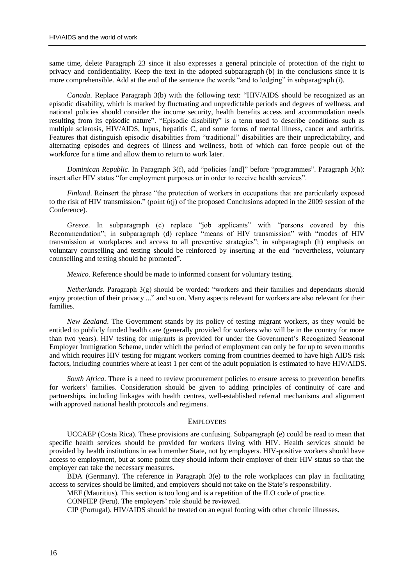same time, delete Paragraph 23 since it also expresses a general principle of protection of the right to privacy and confidentiality. Keep the text in the adopted subparagraph (b) in the conclusions since it is more comprehensible. Add at the end of the sentence the words "and to lodging" in subparagraph (i).

*Canada*. Replace Paragraph 3(b) with the following text: "HIV/AIDS should be recognized as an episodic disability, which is marked by fluctuating and unpredictable periods and degrees of wellness, and national policies should consider the income security, health benefits access and accommodation needs resulting from its episodic nature". "Episodic disability" is a term used to describe conditions such as multiple sclerosis, HIV/AIDS, lupus, hepatitis C, and some forms of mental illness, cancer and arthritis. Features that distinguish episodic disabilities from "traditional" disabilities are their unpredictability, and alternating episodes and degrees of illness and wellness, both of which can force people out of the workforce for a time and allow them to return to work later.

*Dominican Republic*. In Paragraph 3(f), add "policies [and]" before "programmes". Paragraph 3(h): insert after HIV status "for employment purposes or in order to receive health services".

*Finland*. Reinsert the phrase "the protection of workers in occupations that are particularly exposed to the risk of HIV transmission." (point 6(j) of the proposed Conclusions adopted in the 2009 session of the Conference).

*Greece*. In subparagraph (c) replace "job applicants" with "persons covered by this Recommendation"; in subparagraph (d) replace "means of HIV transmission" with "modes of HIV transmission at workplaces and access to all preventive strategies"; in subparagraph (h) emphasis on voluntary counselling and testing should be reinforced by inserting at the end "nevertheless, voluntary counselling and testing should be promoted".

*Mexico*. Reference should be made to informed consent for voluntary testing.

*Netherlands*. Paragraph 3(g) should be worded: "workers and their families and dependants should enjoy protection of their privacy ..." and so on. Many aspects relevant for workers are also relevant for their families.

*New Zealand*. The Government stands by its policy of testing migrant workers, as they would be entitled to publicly funded health care (generally provided for workers who will be in the country for more than two years). HIV testing for migrants is provided for under the Government"s Recognized Seasonal Employer Immigration Scheme, under which the period of employment can only be for up to seven months and which requires HIV testing for migrant workers coming from countries deemed to have high AIDS risk factors, including countries where at least 1 per cent of the adult population is estimated to have HIV/AIDS.

*South Africa*. There is a need to review procurement policies to ensure access to prevention benefits for workers" families. Consideration should be given to adding principles of continuity of care and partnerships, including linkages with health centres, well-established referral mechanisms and alignment with approved national health protocols and regimens.

# **EMPLOYERS**

UCCAEP (Costa Rica). These provisions are confusing. Subparagraph (e) could be read to mean that specific health services should be provided for workers living with HIV. Health services should be provided by health institutions in each member State, not by employers. HIV-positive workers should have access to employment, but at some point they should inform their employer of their HIV status so that the employer can take the necessary measures.

BDA (Germany). The reference in Paragraph 3(e) to the role workplaces can play in facilitating access to services should be limited, and employers should not take on the State"s responsibility.

MEF (Mauritius). This section is too long and is a repetition of the ILO code of practice.

CONFIEP (Peru). The employers' role should be reviewed.

CIP (Portugal). HIV/AIDS should be treated on an equal footing with other chronic illnesses.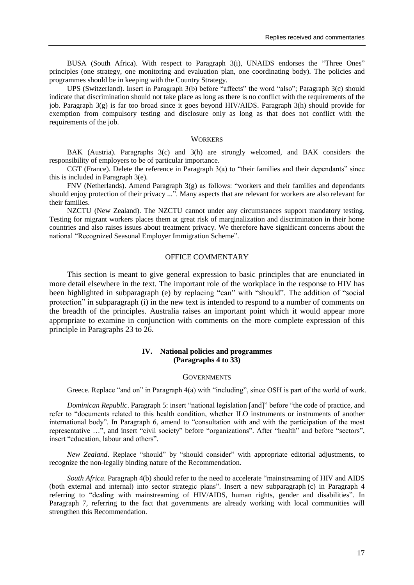BUSA (South Africa). With respect to Paragraph 3(i), UNAIDS endorses the "Three Ones" principles (one strategy, one monitoring and evaluation plan, one coordinating body). The policies and programmes should be in keeping with the Country Strategy.

UPS (Switzerland). Insert in Paragraph 3(b) before "affects" the word "also"; Paragraph 3(c) should indicate that discrimination should not take place as long as there is no conflict with the requirements of the job. Paragraph  $3(g)$  is far too broad since it goes beyond HIV/AIDS. Paragraph  $3(h)$  should provide for exemption from compulsory testing and disclosure only as long as that does not conflict with the requirements of the job.

#### **WORKERS**

BAK (Austria). Paragraphs 3(c) and 3(h) are strongly welcomed, and BAK considers the responsibility of employers to be of particular importance.

CGT (France). Delete the reference in Paragraph  $3(a)$  to "their families and their dependants" since this is included in Paragraph 3(e).

FNV (Netherlands). Amend Paragraph 3(g) as follows: "workers and their families and dependants should enjoy protection of their privacy ...". Many aspects that are relevant for workers are also relevant for their families.

NZCTU (New Zealand). The NZCTU cannot under any circumstances support mandatory testing. Testing for migrant workers places them at great risk of marginalization and discrimination in their home countries and also raises issues about treatment privacy. We therefore have significant concerns about the national "Recognized Seasonal Employer Immigration Scheme".

#### OFFICE COMMENTARY

This section is meant to give general expression to basic principles that are enunciated in more detail elsewhere in the text. The important role of the workplace in the response to HIV has been highlighted in subparagraph (e) by replacing "can" with "should". The addition of "social protection" in subparagraph (i) in the new text is intended to respond to a number of comments on the breadth of the principles. Australia raises an important point which it would appear more appropriate to examine in conjunction with comments on the more complete expression of this principle in Paragraphs 23 to 26.

# **IV. National policies and programmes (Paragraphs 4 to 33)**

#### **GOVERNMENTS**

Greece. Replace "and on" in Paragraph 4(a) with "including", since OSH is part of the world of work.

*Dominican Republic*. Paragraph 5: insert "national legislation [and]" before "the code of practice, and refer to "documents related to this health condition, whether ILO instruments or instruments of another international body". In Paragraph 6, amend to "consultation with and with the participation of the most representative …", and insert "civil society" before "organizations". After "health" and before "sectors", insert "education, labour and others".

*New Zealand*. Replace "should" by "should consider" with appropriate editorial adjustments, to recognize the non-legally binding nature of the Recommendation.

*South Africa*. Paragraph 4(b) should refer to the need to accelerate "mainstreaming of HIV and AIDS (both external and internal) into sector strategic plans". Insert a new subparagraph (c) in Paragraph 4 referring to "dealing with mainstreaming of HIV/AIDS, human rights, gender and disabilities". In Paragraph 7, referring to the fact that governments are already working with local communities will strengthen this Recommendation.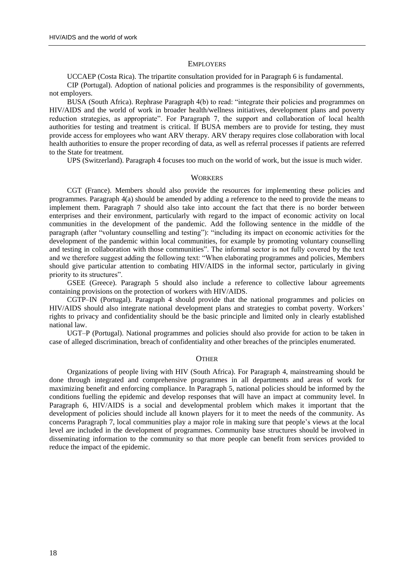#### **EMPLOYERS**

UCCAEP (Costa Rica). The tripartite consultation provided for in Paragraph 6 is fundamental.

CIP (Portugal). Adoption of national policies and programmes is the responsibility of governments, not employers.

BUSA (South Africa). Rephrase Paragraph 4(b) to read: "integrate their policies and programmes on HIV/AIDS and the world of work in broader health/wellness initiatives, development plans and poverty reduction strategies, as appropriate". For Paragraph 7, the support and collaboration of local health authorities for testing and treatment is critical. If BUSA members are to provide for testing, they must provide access for employees who want ARV therapy. ARV therapy requires close collaboration with local health authorities to ensure the proper recording of data, as well as referral processes if patients are referred to the State for treatment.

UPS (Switzerland). Paragraph 4 focuses too much on the world of work, but the issue is much wider.

#### **WORKERS**

CGT (France). Members should also provide the resources for implementing these policies and programmes. Paragraph 4(a) should be amended by adding a reference to the need to provide the means to implement them. Paragraph 7 should also take into account the fact that there is no border between enterprises and their environment, particularly with regard to the impact of economic activity on local communities in the development of the pandemic. Add the following sentence in the middle of the paragraph (after "voluntary counselling and testing"): "including its impact on economic activities for the development of the pandemic within local communities, for example by promoting voluntary counselling and testing in collaboration with those communities". The informal sector is not fully covered by the text and we therefore suggest adding the following text: "When elaborating programmes and policies, Members should give particular attention to combating HIV/AIDS in the informal sector, particularly in giving priority to its structures".

GSEE (Greece). Paragraph 5 should also include a reference to collective labour agreements containing provisions on the protection of workers with HIV/AIDS.

CGTP–IN (Portugal). Paragraph 4 should provide that the national programmes and policies on HIV/AIDS should also integrate national development plans and strategies to combat poverty. Workers' rights to privacy and confidentiality should be the basic principle and limited only in clearly established national law.

UGT–P (Portugal). National programmes and policies should also provide for action to be taken in case of alleged discrimination, breach of confidentiality and other breaches of the principles enumerated.

#### **OTHER**

Organizations of people living with HIV (South Africa). For Paragraph 4, mainstreaming should be done through integrated and comprehensive programmes in all departments and areas of work for maximizing benefit and enforcing compliance. In Paragraph 5, national policies should be informed by the conditions fuelling the epidemic and develop responses that will have an impact at community level. In Paragraph 6, HIV/AIDS is a social and developmental problem which makes it important that the development of policies should include all known players for it to meet the needs of the community. As concerns Paragraph 7, local communities play a major role in making sure that people"s views at the local level are included in the development of programmes. Community base structures should be involved in disseminating information to the community so that more people can benefit from services provided to reduce the impact of the epidemic.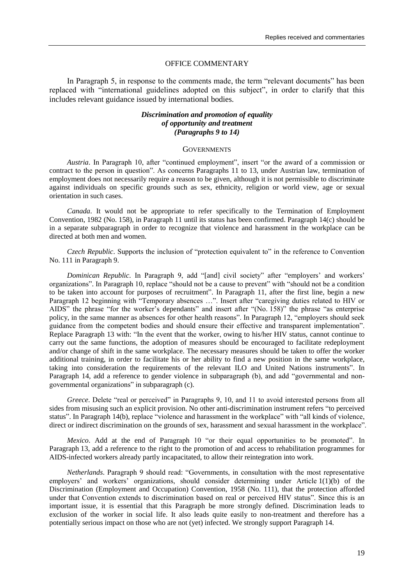#### OFFICE COMMENTARY

In Paragraph 5, in response to the comments made, the term "relevant documents" has been replaced with "international guidelines adopted on this subject", in order to clarify that this includes relevant guidance issued by international bodies.

# *Discrimination and promotion of equality of opportunity and treatment (Paragraphs 9 to 14)*

#### **GOVERNMENTS**

*Austria*. In Paragraph 10, after "continued employment", insert "or the award of a commission or contract to the person in question". As concerns Paragraphs 11 to 13, under Austrian law, termination of employment does not necessarily require a reason to be given, although it is not permissible to discriminate against individuals on specific grounds such as sex, ethnicity, religion or world view, age or sexual orientation in such cases.

*Canada*. It would not be appropriate to refer specifically to the Termination of Employment Convention, 1982 (No. 158), in Paragraph 11 until its status has been confirmed. Paragraph 14(c) should be in a separate subparagraph in order to recognize that violence and harassment in the workplace can be directed at both men and women.

*Czech Republic*. Supports the inclusion of "protection equivalent to" in the reference to Convention No. 111 in Paragraph 9.

*Dominican Republic*. In Paragraph 9, add "[and] civil society" after "employers' and workers' organizations". In Paragraph 10, replace "should not be a cause to prevent" with "should not be a condition to be taken into account for purposes of recruitment". In Paragraph 11, after the first line, begin a new Paragraph 12 beginning with "Temporary absences …". Insert after "caregiving duties related to HIV or AIDS" the phrase "for the worker's dependants" and insert after "(No. 158)" the phrase "as enterprise policy, in the same manner as absences for other health reasons". In Paragraph 12, "employers should seek guidance from the competent bodies and should ensure their effective and transparent implementation". Replace Paragraph 13 with: "In the event that the worker, owing to his/her HIV status, cannot continue to carry out the same functions, the adoption of measures should be encouraged to facilitate redeployment and/or change of shift in the same workplace. The necessary measures should be taken to offer the worker additional training, in order to facilitate his or her ability to find a new position in the same workplace, taking into consideration the requirements of the relevant ILO and United Nations instruments". In Paragraph 14, add a reference to gender violence in subparagraph (b), and add "governmental and nongovernmental organizations" in subparagraph (c).

*Greece*. Delete "real or perceived" in Paragraphs 9, 10, and 11 to avoid interested persons from all sides from misusing such an explicit provision. No other anti-discrimination instrument refers "to perceived status". In Paragraph 14(b), replace "violence and harassment in the workplace" with "all kinds of violence, direct or indirect discrimination on the grounds of sex, harassment and sexual harassment in the workplace".

*Mexico*. Add at the end of Paragraph 10 "or their equal opportunities to be promoted". In Paragraph 13, add a reference to the right to the promotion of and access to rehabilitation programmes for AIDS-infected workers already partly incapacitated, to allow their reintegration into work.

*Netherlands*. Paragraph 9 should read: "Governments, in consultation with the most representative employers' and workers' organizations, should consider determining under Article 1(1)(b) of the Discrimination (Employment and Occupation) Convention, 1958 (No. 111), that the protection afforded under that Convention extends to discrimination based on real or perceived HIV status". Since this is an important issue, it is essential that this Paragraph be more strongly defined. Discrimination leads to exclusion of the worker in social life. It also leads quite easily to non-treatment and therefore has a potentially serious impact on those who are not (yet) infected. We strongly support Paragraph 14.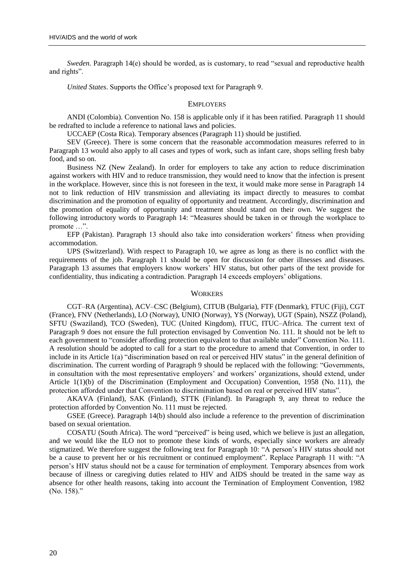*Sweden*. Paragraph 14(e) should be worded, as is customary, to read "sexual and reproductive health and rights".

*United States*. Supports the Office"s proposed text for Paragraph 9.

#### EMPLOYERS

ANDI (Colombia). Convention No. 158 is applicable only if it has been ratified. Paragraph 11 should be redrafted to include a reference to national laws and policies.

UCCAEP (Costa Rica). Temporary absences (Paragraph 11) should be justified.

SEV (Greece). There is some concern that the reasonable accommodation measures referred to in Paragraph 13 would also apply to all cases and types of work, such as infant care, shops selling fresh baby food, and so on.

Business NZ (New Zealand). In order for employers to take any action to reduce discrimination against workers with HIV and to reduce transmission, they would need to know that the infection is present in the workplace. However, since this is not foreseen in the text, it would make more sense in Paragraph 14 not to link reduction of HIV transmission and alleviating its impact directly to measures to combat discrimination and the promotion of equality of opportunity and treatment. Accordingly, discrimination and the promotion of equality of opportunity and treatment should stand on their own. We suggest the following introductory words to Paragraph 14: "Measures should be taken in or through the workplace to promote …".

EFP (Pakistan). Paragraph 13 should also take into consideration workers" fitness when providing accommodation.

UPS (Switzerland). With respect to Paragraph 10, we agree as long as there is no conflict with the requirements of the job. Paragraph 11 should be open for discussion for other illnesses and diseases. Paragraph 13 assumes that employers know workers' HIV status, but other parts of the text provide for confidentiality, thus indicating a contradiction. Paragraph 14 exceeds employers" obligations.

#### **WORKERS**

CGT–RA (Argentina), ACV–CSC (Belgium), CITUB (Bulgaria), FTF (Denmark), FTUC (Fiji), CGT (France), FNV (Netherlands), LO (Norway), UNIO (Norway), YS (Norway), UGT (Spain), NSZZ (Poland), SFTU (Swaziland), TCO (Sweden), TUC (United Kingdom), ITUC, ITUC–Africa. The current text of Paragraph 9 does not ensure the full protection envisaged by Convention No. 111. It should not be left to each government to "consider affording protection equivalent to that available under" Convention No. 111. A resolution should be adopted to call for a start to the procedure to amend that Convention, in order to include in its Article 1(a) "discrimination based on real or perceived HIV status" in the general definition of discrimination. The current wording of Paragraph 9 should be replaced with the following: "Governments, in consultation with the most representative employers' and workers' organizations, should extend, under Article 1(1)(b) of the Discrimination (Employment and Occupation) Convention, 1958 (No. 111), the protection afforded under that Convention to discrimination based on real or perceived HIV status".

AKAVA (Finland), SAK (Finland), STTK (Finland). In Paragraph 9, any threat to reduce the protection afforded by Convention No. 111 must be rejected.

GSEE (Greece). Paragraph 14(b) should also include a reference to the prevention of discrimination based on sexual orientation.

COSATU (South Africa). The word "perceived" is being used, which we believe is just an allegation, and we would like the ILO not to promote these kinds of words, especially since workers are already stigmatized. We therefore suggest the following text for Paragraph 10: "A person"s HIV status should not be a cause to prevent her or his recruitment or continued employment". Replace Paragraph 11 with: "A person"s HIV status should not be a cause for termination of employment. Temporary absences from work because of illness or caregiving duties related to HIV and AIDS should be treated in the same way as absence for other health reasons, taking into account the Termination of Employment Convention, 1982 (No. 158)."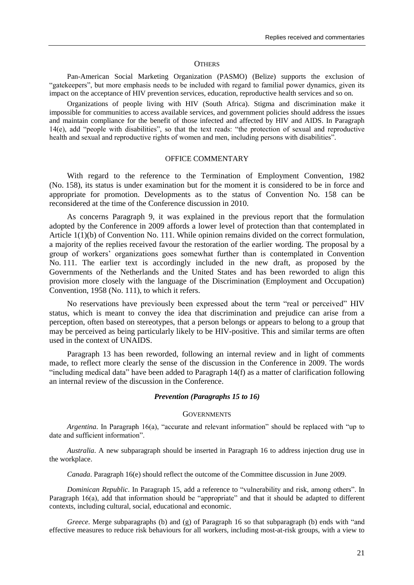#### **OTHERS**

Pan-American Social Marketing Organization (PASMO) (Belize) supports the exclusion of "gatekeepers", but more emphasis needs to be included with regard to familial power dynamics, given its impact on the acceptance of HIV prevention services, education, reproductive health services and so on.

Organizations of people living with HIV (South Africa). Stigma and discrimination make it impossible for communities to access available services, and government policies should address the issues and maintain compliance for the benefit of those infected and affected by HIV and AIDS. In Paragraph 14(e), add "people with disabilities", so that the text reads: "the protection of sexual and reproductive health and sexual and reproductive rights of women and men, including persons with disabilities".

# OFFICE COMMENTARY

With regard to the reference to the Termination of Employment Convention, 1982 (No. 158), its status is under examination but for the moment it is considered to be in force and appropriate for promotion. Developments as to the status of Convention No. 158 can be reconsidered at the time of the Conference discussion in 2010.

As concerns Paragraph 9, it was explained in the previous report that the formulation adopted by the Conference in 2009 affords a lower level of protection than that contemplated in Article 1(1)(b) of Convention No. 111. While opinion remains divided on the correct formulation, a majority of the replies received favour the restoration of the earlier wording. The proposal by a group of workers" organizations goes somewhat further than is contemplated in Convention No. 111. The earlier text is accordingly included in the new draft, as proposed by the Governments of the Netherlands and the United States and has been reworded to align this provision more closely with the language of the Discrimination (Employment and Occupation) Convention, 1958 (No. 111), to which it refers.

No reservations have previously been expressed about the term "real or perceived" HIV status, which is meant to convey the idea that discrimination and prejudice can arise from a perception, often based on stereotypes, that a person belongs or appears to belong to a group that may be perceived as being particularly likely to be HIV-positive. This and similar terms are often used in the context of UNAIDS.

Paragraph 13 has been reworded, following an internal review and in light of comments made, to reflect more clearly the sense of the discussion in the Conference in 2009. The words "including medical data" have been added to Paragraph 14(f) as a matter of clarification following an internal review of the discussion in the Conference.

#### *Prevention (Paragraphs 15 to 16)*

# **GOVERNMENTS**

*Argentina*. In Paragraph 16(a), "accurate and relevant information" should be replaced with "up to date and sufficient information".

*Australia*. A new subparagraph should be inserted in Paragraph 16 to address injection drug use in the workplace.

*Canada*. Paragraph 16(e) should reflect the outcome of the Committee discussion in June 2009.

*Dominican Republic*. In Paragraph 15, add a reference to "vulnerability and risk, among others". In Paragraph 16(a), add that information should be "appropriate" and that it should be adapted to different contexts, including cultural, social, educational and economic.

*Greece*. Merge subparagraphs (b) and (g) of Paragraph 16 so that subparagraph (b) ends with "and effective measures to reduce risk behaviours for all workers, including most-at-risk groups, with a view to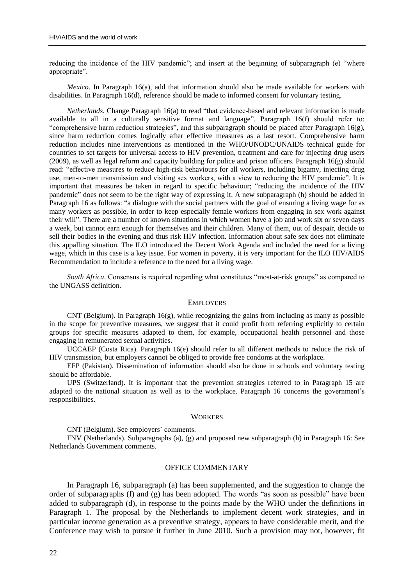reducing the incidence of the HIV pandemic"; and insert at the beginning of subparagraph (e) "where appropriate".

*Mexico*. In Paragraph 16(a), add that information should also be made available for workers with disabilities. In Paragraph 16(d), reference should be made to informed consent for voluntary testing.

*Netherlands*. Change Paragraph 16(a) to read "that evidence-based and relevant information is made available to all in a culturally sensitive format and language". Paragraph 16(f) should refer to: "comprehensive harm reduction strategies", and this subparagraph should be placed after Paragraph 16(g), since harm reduction comes logically after effective measures as a last resort. Comprehensive harm reduction includes nine interventions as mentioned in the WHO/UNODC/UNAIDS technical guide for countries to set targets for universal access to HIV prevention, treatment and care for injecting drug users (2009), as well as legal reform and capacity building for police and prison officers. Paragraph 16(g) should read: "effective measures to reduce high-risk behaviours for all workers, including bigamy, injecting drug use, men-to-men transmission and visiting sex workers, with a view to reducing the HIV pandemic". It is important that measures be taken in regard to specific behaviour; "reducing the incidence of the HIV pandemic" does not seem to be the right way of expressing it. A new subparagraph (h) should be added in Paragraph 16 as follows: "a dialogue with the social partners with the goal of ensuring a living wage for as many workers as possible, in order to keep especially female workers from engaging in sex work against their will". There are a number of known situations in which women have a job and work six or seven days a week, but cannot earn enough for themselves and their children. Many of them, out of despair, decide to sell their bodies in the evening and thus risk HIV infection. Information about safe sex does not eliminate this appalling situation. The ILO introduced the Decent Work Agenda and included the need for a living wage, which in this case is a key issue. For women in poverty, it is very important for the ILO HIV/AIDS Recommendation to include a reference to the need for a living wage.

*South Africa*. Consensus is required regarding what constitutes "most-at-risk groups" as compared to the UNGASS definition.

#### EMPLOYERS

CNT (Belgium). In Paragraph  $16(g)$ , while recognizing the gains from including as many as possible in the scope for preventive measures, we suggest that it could profit from referring explicitly to certain groups for specific measures adapted to them, for example, occupational health personnel and those engaging in remunerated sexual activities.

UCCAEP (Costa Rica). Paragraph 16(e) should refer to all different methods to reduce the risk of HIV transmission, but employers cannot be obliged to provide free condoms at the workplace.

EFP (Pakistan). Dissemination of information should also be done in schools and voluntary testing should be affordable.

UPS (Switzerland). It is important that the prevention strategies referred to in Paragraph 15 are adapted to the national situation as well as to the workplace. Paragraph 16 concerns the government's responsibilities.

#### **WORKERS**

CNT (Belgium). See employers' comments.

FNV (Netherlands). Subparagraphs (a), (g) and proposed new subparagraph (h) in Paragraph 16: See Netherlands Government comments.

# OFFICE COMMENTARY

In Paragraph 16, subparagraph (a) has been supplemented, and the suggestion to change the order of subparagraphs (f) and (g) has been adopted. The words "as soon as possible" have been added to subparagraph (d), in response to the points made by the WHO under the definitions in Paragraph 1. The proposal by the Netherlands to implement decent work strategies, and in particular income generation as a preventive strategy, appears to have considerable merit, and the Conference may wish to pursue it further in June 2010. Such a provision may not, however, fit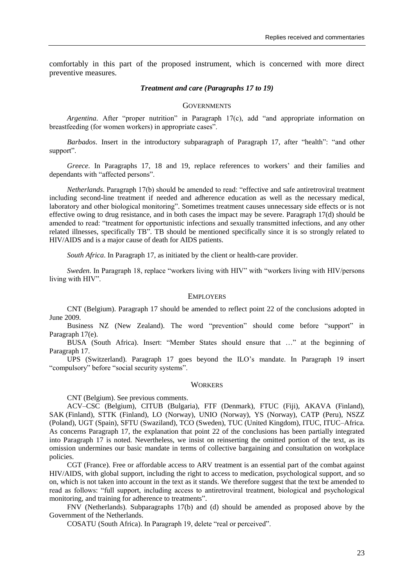comfortably in this part of the proposed instrument, which is concerned with more direct preventive measures.

# *Treatment and care (Paragraphs 17 to 19)*

#### **GOVERNMENTS**

*Argentina*. After "proper nutrition" in Paragraph 17(c), add "and appropriate information on breastfeeding (for women workers) in appropriate cases".

*Barbados*. Insert in the introductory subparagraph of Paragraph 17, after "health": "and other support".

*Greece*. In Paragraphs 17, 18 and 19, replace references to workers' and their families and dependants with "affected persons".

*Netherlands*. Paragraph 17(b) should be amended to read: "effective and safe antiretroviral treatment including second-line treatment if needed and adherence education as well as the necessary medical, laboratory and other biological monitoring". Sometimes treatment causes unnecessary side effects or is not effective owing to drug resistance, and in both cases the impact may be severe. Paragraph 17(d) should be amended to read: "treatment for opportunistic infections and sexually transmitted infections, and any other related illnesses, specifically TB". TB should be mentioned specifically since it is so strongly related to HIV/AIDS and is a major cause of death for AIDS patients.

*South Africa*. In Paragraph 17, as initiated by the client or health-care provider.

*Sweden*. In Paragraph 18, replace "workers living with HIV" with "workers living with HIV/persons living with HIV".

#### EMPLOYERS

CNT (Belgium). Paragraph 17 should be amended to reflect point 22 of the conclusions adopted in June 2009.

Business NZ (New Zealand). The word "prevention" should come before "support" in Paragraph 17(e).

BUSA (South Africa). Insert: "Member States should ensure that …" at the beginning of Paragraph 17.

UPS (Switzerland). Paragraph 17 goes beyond the ILO"s mandate. In Paragraph 19 insert "compulsory" before "social security systems".

# **WORKERS**

CNT (Belgium). See previous comments.

ACV–CSC (Belgium), CITUB (Bulgaria), FTF (Denmark), FTUC (Fiji), AKAVA (Finland), SAK (Finland), STTK (Finland), LO (Norway), UNIO (Norway), YS (Norway), CATP (Peru), NSZZ (Poland), UGT (Spain), SFTU (Swaziland), TCO (Sweden), TUC (United Kingdom), ITUC, ITUC–Africa. As concerns Paragraph 17, the explanation that point 22 of the conclusions has been partially integrated into Paragraph 17 is noted. Nevertheless, we insist on reinserting the omitted portion of the text, as its omission undermines our basic mandate in terms of collective bargaining and consultation on workplace policies.

CGT (France). Free or affordable access to ARV treatment is an essential part of the combat against HIV/AIDS, with global support, including the right to access to medication, psychological support, and so on, which is not taken into account in the text as it stands. We therefore suggest that the text be amended to read as follows: "full support, including access to antiretroviral treatment, biological and psychological monitoring, and training for adherence to treatments".

FNV (Netherlands). Subparagraphs 17(b) and (d) should be amended as proposed above by the Government of the Netherlands.

COSATU (South Africa). In Paragraph 19, delete "real or perceived".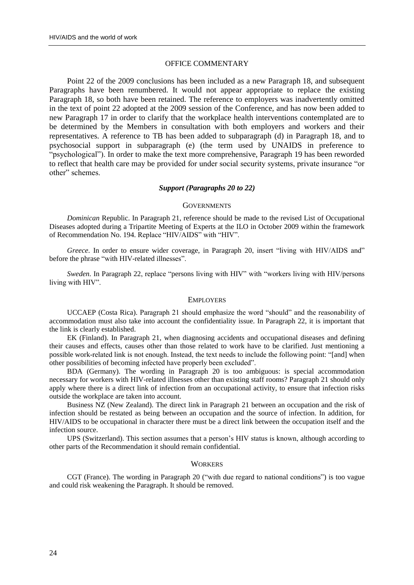#### OFFICE COMMENTARY

Point 22 of the 2009 conclusions has been included as a new Paragraph 18, and subsequent Paragraphs have been renumbered. It would not appear appropriate to replace the existing Paragraph 18, so both have been retained. The reference to employers was inadvertently omitted in the text of point 22 adopted at the 2009 session of the Conference, and has now been added to new Paragraph 17 in order to clarify that the workplace health interventions contemplated are to be determined by the Members in consultation with both employers and workers and their representatives. A reference to TB has been added to subparagraph (d) in Paragraph 18, and to psychosocial support in subparagraph (e) (the term used by UNAIDS in preference to "psychological"). In order to make the text more comprehensive, Paragraph 19 has been reworded to reflect that health care may be provided for under social security systems, private insurance "or other" schemes.

# *Support (Paragraphs 20 to 22)*

#### **GOVERNMENTS**

*Dominican* Republic. In Paragraph 21, reference should be made to the revised List of Occupational Diseases adopted during a Tripartite Meeting of Experts at the ILO in October 2009 within the framework of Recommendation No. 194. Replace "HIV/AIDS" with "HIV".

*Greece*. In order to ensure wider coverage, in Paragraph 20, insert "living with HIV/AIDS and" before the phrase "with HIV-related illnesses".

*Sweden*. In Paragraph 22, replace "persons living with HIV" with "workers living with HIV/persons living with HIV".

#### **EMPLOYERS**

UCCAEP (Costa Rica). Paragraph 21 should emphasize the word "should" and the reasonability of accommodation must also take into account the confidentiality issue. In Paragraph 22, it is important that the link is clearly established.

EK (Finland). In Paragraph 21, when diagnosing accidents and occupational diseases and defining their causes and effects, causes other than those related to work have to be clarified. Just mentioning a possible work-related link is not enough. Instead, the text needs to include the following point: "[and] when other possibilities of becoming infected have properly been excluded".

BDA (Germany). The wording in Paragraph 20 is too ambiguous: is special accommodation necessary for workers with HIV-related illnesses other than existing staff rooms? Paragraph 21 should only apply where there is a direct link of infection from an occupational activity, to ensure that infection risks outside the workplace are taken into account.

Business NZ (New Zealand). The direct link in Paragraph 21 between an occupation and the risk of infection should be restated as being between an occupation and the source of infection. In addition, for HIV/AIDS to be occupational in character there must be a direct link between the occupation itself and the infection source.

UPS (Switzerland). This section assumes that a person"s HIV status is known, although according to other parts of the Recommendation it should remain confidential.

#### **WORKERS**

CGT (France). The wording in Paragraph 20 ("with due regard to national conditions") is too vague and could risk weakening the Paragraph. It should be removed.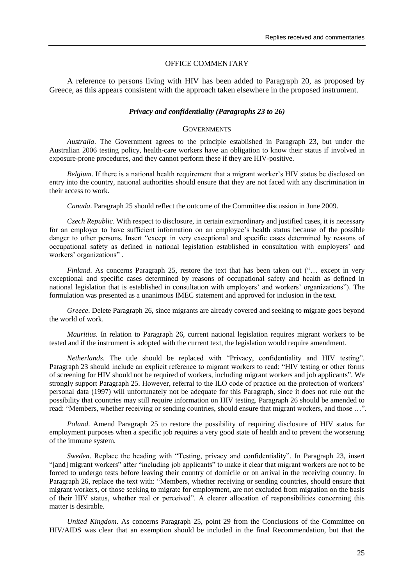#### OFFICE COMMENTARY

A reference to persons living with HIV has been added to Paragraph 20, as proposed by Greece, as this appears consistent with the approach taken elsewhere in the proposed instrument.

# *Privacy and confidentiality (Paragraphs 23 to 26)*

#### **GOVERNMENTS**

*Australia*. The Government agrees to the principle established in Paragraph 23, but under the Australian 2006 testing policy, health-care workers have an obligation to know their status if involved in exposure-prone procedures, and they cannot perform these if they are HIV-positive.

*Belgium*. If there is a national health requirement that a migrant worker's HIV status be disclosed on entry into the country, national authorities should ensure that they are not faced with any discrimination in their access to work.

*Canada*. Paragraph 25 should reflect the outcome of the Committee discussion in June 2009.

*Czech Republic*. With respect to disclosure, in certain extraordinary and justified cases, it is necessary for an employer to have sufficient information on an employee"s health status because of the possible danger to other persons. Insert "except in very exceptional and specific cases determined by reasons of occupational safety as defined in national legislation established in consultation with employers" and workers' organizations".

*Finland*. As concerns Paragraph 25, restore the text that has been taken out ("... except in very exceptional and specific cases determined by reasons of occupational safety and health as defined in national legislation that is established in consultation with employers" and workers" organizations"). The formulation was presented as a unanimous IMEC statement and approved for inclusion in the text.

*Greece*. Delete Paragraph 26, since migrants are already covered and seeking to migrate goes beyond the world of work.

*Mauritius*. In relation to Paragraph 26, current national legislation requires migrant workers to be tested and if the instrument is adopted with the current text, the legislation would require amendment.

*Netherlands*. The title should be replaced with "Privacy, confidentiality and HIV testing". Paragraph 23 should include an explicit reference to migrant workers to read: "HIV testing or other forms of screening for HIV should not be required of workers, including migrant workers and job applicants". We strongly support Paragraph 25. However, referral to the ILO code of practice on the protection of workers" personal data (1997) will unfortunately not be adequate for this Paragraph, since it does not rule out the possibility that countries may still require information on HIV testing. Paragraph 26 should be amended to read: "Members, whether receiving or sending countries, should ensure that migrant workers, and those ...".

*Poland*. Amend Paragraph 25 to restore the possibility of requiring disclosure of HIV status for employment purposes when a specific job requires a very good state of health and to prevent the worsening of the immune system.

*Sweden*. Replace the heading with "Testing, privacy and confidentiality". In Paragraph 23, insert "[and] migrant workers" after "including job applicants" to make it clear that migrant workers are not to be forced to undergo tests before leaving their country of domicile or on arrival in the receiving country. In Paragraph 26, replace the text with: "Members, whether receiving or sending countries, should ensure that migrant workers, or those seeking to migrate for employment, are not excluded from migration on the basis of their HIV status, whether real or perceived". A clearer allocation of responsibilities concerning this matter is desirable.

*United Kingdom*. As concerns Paragraph 25, point 29 from the Conclusions of the Committee on HIV/AIDS was clear that an exemption should be included in the final Recommendation, but that the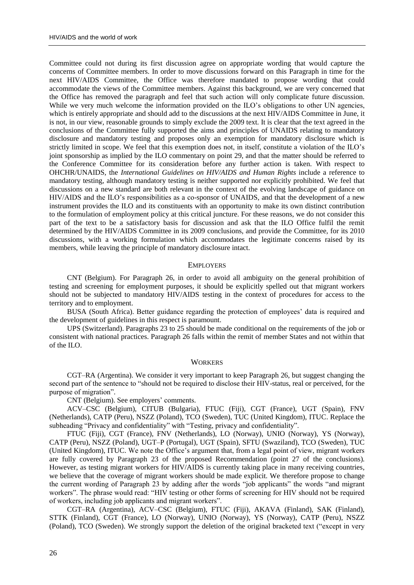Committee could not during its first discussion agree on appropriate wording that would capture the concerns of Committee members. In order to move discussions forward on this Paragraph in time for the next HIV/AIDS Committee, the Office was therefore mandated to propose wording that could accommodate the views of the Committee members. Against this background, we are very concerned that the Office has removed the paragraph and feel that such action will only complicate future discussion. While we very much welcome the information provided on the ILO's obligations to other UN agencies, which is entirely appropriate and should add to the discussions at the next HIV/AIDS Committee in June, it is not, in our view, reasonable grounds to simply exclude the 2009 text. It is clear that the text agreed in the conclusions of the Committee fully supported the aims and principles of UNAIDS relating to mandatory disclosure and mandatory testing and proposes only an exemption for mandatory disclosure which is strictly limited in scope. We feel that this exemption does not, in itself, constitute a violation of the ILO"s joint sponsorship as implied by the ILO commentary on point 29, and that the matter should be referred to the Conference Committee for its consideration before any further action is taken. With respect to OHCHR/UNAIDS, the *International Guidelines on HIV/AIDS and Human Rights* include a reference to mandatory testing, although mandatory testing is neither supported nor explicitly prohibited. We feel that discussions on a new standard are both relevant in the context of the evolving landscape of guidance on HIV/AIDS and the ILO"s responsibilities as a co-sponsor of UNAIDS, and that the development of a new instrument provides the ILO and its constituents with an opportunity to make its own distinct contribution to the formulation of employment policy at this critical juncture. For these reasons, we do not consider this part of the text to be a satisfactory basis for discussion and ask that the ILO Office fulfil the remit determined by the HIV/AIDS Committee in its 2009 conclusions, and provide the Committee, for its 2010 discussions, with a working formulation which accommodates the legitimate concerns raised by its members, while leaving the principle of mandatory disclosure intact.

#### **EMPLOYERS**

CNT (Belgium). For Paragraph 26, in order to avoid all ambiguity on the general prohibition of testing and screening for employment purposes, it should be explicitly spelled out that migrant workers should not be subjected to mandatory HIV/AIDS testing in the context of procedures for access to the territory and to employment.

BUSA (South Africa). Better guidance regarding the protection of employees" data is required and the development of guidelines in this respect is paramount.

UPS (Switzerland). Paragraphs 23 to 25 should be made conditional on the requirements of the job or consistent with national practices. Paragraph 26 falls within the remit of member States and not within that of the ILO.

#### **WORKERS**

CGT–RA (Argentina). We consider it very important to keep Paragraph 26, but suggest changing the second part of the sentence to "should not be required to disclose their HIV-status, real or perceived, for the purpose of migration".

CNT (Belgium). See employers' comments.

ACV–CSC (Belgium), CITUB (Bulgaria), FTUC (Fiji), CGT (France), UGT (Spain), FNV (Netherlands), CATP (Peru), NSZZ (Poland), TCO (Sweden), TUC (United Kingdom), ITUC. Replace the subheading "Privacy and confidentiality" with "Testing, privacy and confidentiality".

FTUC (Fiji), CGT (France), FNV (Netherlands), LO (Norway), UNIO (Norway), YS (Norway), CATP (Peru), NSZZ (Poland), UGT–P (Portugal), UGT (Spain), SFTU (Swaziland), TCO (Sweden), TUC (United Kingdom), ITUC. We note the Office's argument that, from a legal point of view, migrant workers are fully covered by Paragraph 23 of the proposed Recommendation (point 27 of the conclusions). However, as testing migrant workers for HIV/AIDS is currently taking place in many receiving countries, we believe that the coverage of migrant workers should be made explicit. We therefore propose to change the current wording of Paragraph 23 by adding after the words "job applicants" the words "and migrant workers". The phrase would read: "HIV testing or other forms of screening for HIV should not be required of workers, including job applicants and migrant workers".

CGT–RA (Argentina), ACV–CSC (Belgium), FTUC (Fiji), AKAVA (Finland), SAK (Finland), STTK (Finland), CGT (France), LO (Norway), UNIO (Norway), YS (Norway), CATP (Peru), NSZZ (Poland), TCO (Sweden). We strongly support the deletion of the original bracketed text ("except in very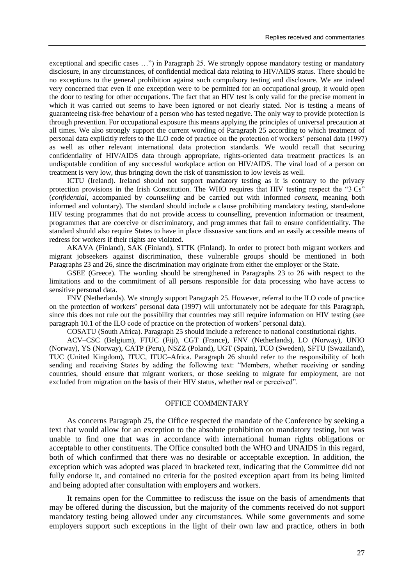exceptional and specific cases …") in Paragraph 25. We strongly oppose mandatory testing or mandatory disclosure, in any circumstances, of confidential medical data relating to HIV/AIDS status. There should be no exceptions to the general prohibition against such compulsory testing and disclosure. We are indeed very concerned that even if one exception were to be permitted for an occupational group, it would open the door to testing for other occupations. The fact that an HIV test is only valid for the precise moment in which it was carried out seems to have been ignored or not clearly stated. Nor is testing a means of guaranteeing risk-free behaviour of a person who has tested negative. The only way to provide protection is through prevention. For occupational exposure this means applying the principles of universal precaution at all times. We also strongly support the current wording of Paragraph 25 according to which treatment of personal data explicitly refers to the ILO code of practice on the protection of workers" personal data (1997) as well as other relevant international data protection standards. We would recall that securing confidentiality of HIV/AIDS data through appropriate, rights-oriented data treatment practices is an undisputable condition of any successful workplace action on HIV/AIDS. The viral load of a person on treatment is very low, thus bringing down the risk of transmission to low levels as well.

ICTU (Ireland). Ireland should not support mandatory testing as it is contrary to the privacy protection provisions in the Irish Constitution. The WHO requires that HIV testing respect the "3 Cs" (*confidential*, accompanied by *counselling* and be carried out with informed *consent*, meaning both informed and voluntary). The standard should include a clause prohibiting mandatory testing, stand-alone HIV testing programmes that do not provide access to counselling, prevention information or treatment, programmes that are coercive or discriminatory, and programmes that fail to ensure confidentiality. The standard should also require States to have in place dissuasive sanctions and an easily accessible means of redress for workers if their rights are violated.

AKAVA (Finland), SAK (Finland), STTK (Finland). In order to protect both migrant workers and migrant jobseekers against discrimination, these vulnerable groups should be mentioned in both Paragraphs 23 and 26, since the discrimination may originate from either the employer or the State.

GSEE (Greece). The wording should be strengthened in Paragraphs 23 to 26 with respect to the limitations and to the commitment of all persons responsible for data processing who have access to sensitive personal data.

FNV (Netherlands). We strongly support Paragraph 25. However, referral to the ILO code of practice on the protection of workers" personal data (1997) will unfortunately not be adequate for this Paragraph, since this does not rule out the possibility that countries may still require information on HIV testing (see paragraph 10.1 of the ILO code of practice on the protection of workers' personal data).

COSATU (South Africa). Paragraph 25 should include a reference to national constitutional rights.

ACV–CSC (Belgium), FTUC (Fiji), CGT (France), FNV (Netherlands), LO (Norway), UNIO (Norway), YS (Norway), CATP (Peru), NSZZ (Poland), UGT (Spain), TCO (Sweden), SFTU (Swaziland), TUC (United Kingdom), ITUC, ITUC–Africa. Paragraph 26 should refer to the responsibility of both sending and receiving States by adding the following text: "Members, whether receiving or sending countries, should ensure that migrant workers, or those seeking to migrate for employment, are not excluded from migration on the basis of their HIV status, whether real or perceived".

#### OFFICE COMMENTARY

As concerns Paragraph 25, the Office respected the mandate of the Conference by seeking a text that would allow for an exception to the absolute prohibition on mandatory testing, but was unable to find one that was in accordance with international human rights obligations or acceptable to other constituents. The Office consulted both the WHO and UNAIDS in this regard, both of which confirmed that there was no desirable or acceptable exception. In addition, the exception which was adopted was placed in bracketed text, indicating that the Committee did not fully endorse it, and contained no criteria for the posited exception apart from its being limited and being adopted after consultation with employers and workers.

It remains open for the Committee to rediscuss the issue on the basis of amendments that may be offered during the discussion, but the majority of the comments received do not support mandatory testing being allowed under any circumstances. While some governments and some employers support such exceptions in the light of their own law and practice, others in both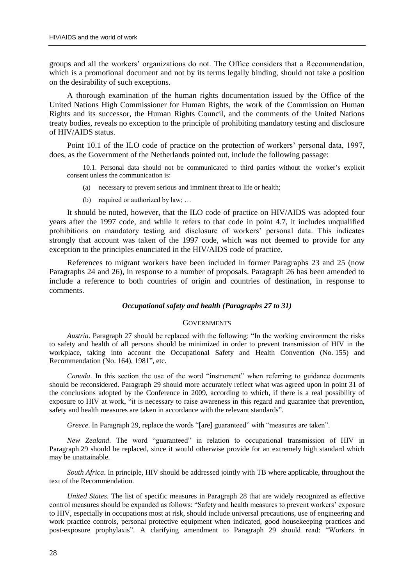groups and all the workers" organizations do not. The Office considers that a Recommendation, which is a promotional document and not by its terms legally binding, should not take a position on the desirability of such exceptions.

A thorough examination of the human rights documentation issued by the Office of the United Nations High Commissioner for Human Rights, the work of the Commission on Human Rights and its successor, the Human Rights Council, and the comments of the United Nations treaty bodies, reveals no exception to the principle of prohibiting mandatory testing and disclosure of HIV/AIDS status.

Point 10.1 of the ILO code of practice on the protection of workers' personal data, 1997, does, as the Government of the Netherlands pointed out, include the following passage:

10.1. Personal data should not be communicated to third parties without the worker"s explicit consent unless the communication is:

- (a) necessary to prevent serious and imminent threat to life or health;
- (b) required or authorized by law; …

It should be noted, however, that the ILO code of practice on HIV/AIDS was adopted four years after the 1997 code, and while it refers to that code in point 4.7, it includes unqualified prohibitions on mandatory testing and disclosure of workers" personal data. This indicates strongly that account was taken of the 1997 code, which was not deemed to provide for any exception to the principles enunciated in the HIV/AIDS code of practice.

References to migrant workers have been included in former Paragraphs 23 and 25 (now Paragraphs 24 and 26), in response to a number of proposals. Paragraph 26 has been amended to include a reference to both countries of origin and countries of destination, in response to comments.

#### *Occupational safety and health (Paragraphs 27 to 31)*

# **GOVERNMENTS**

*Austria*. Paragraph 27 should be replaced with the following: "In the working environment the risks to safety and health of all persons should be minimized in order to prevent transmission of HIV in the workplace, taking into account the Occupational Safety and Health Convention (No. 155) and Recommendation (No. 164), 1981", etc.

*Canada*. In this section the use of the word "instrument" when referring to guidance documents should be reconsidered. Paragraph 29 should more accurately reflect what was agreed upon in point 31 of the conclusions adopted by the Conference in 2009, according to which, if there is a real possibility of exposure to HIV at work, "it is necessary to raise awareness in this regard and guarantee that prevention, safety and health measures are taken in accordance with the relevant standards".

*Greece*. In Paragraph 29, replace the words "[are] guaranteed" with "measures are taken".

*New Zealand*. The word "guaranteed" in relation to occupational transmission of HIV in Paragraph 29 should be replaced, since it would otherwise provide for an extremely high standard which may be unattainable.

*South Africa*. In principle, HIV should be addressed jointly with TB where applicable, throughout the text of the Recommendation.

*United States*. The list of specific measures in Paragraph 28 that are widely recognized as effective control measures should be expanded as follows: "Safety and health measures to prevent workers" exposure to HIV, especially in occupations most at risk, should include universal precautions, use of engineering and work practice controls, personal protective equipment when indicated, good housekeeping practices and post-exposure prophylaxis". A clarifying amendment to Paragraph 29 should read: "Workers in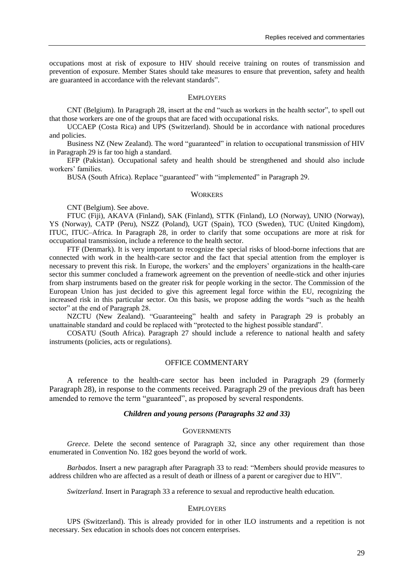occupations most at risk of exposure to HIV should receive training on routes of transmission and prevention of exposure. Member States should take measures to ensure that prevention, safety and health are guaranteed in accordance with the relevant standards".

#### EMPLOYERS

CNT (Belgium). In Paragraph 28, insert at the end "such as workers in the health sector", to spell out that those workers are one of the groups that are faced with occupational risks.

UCCAEP (Costa Rica) and UPS (Switzerland). Should be in accordance with national procedures and policies.

Business NZ (New Zealand). The word "guaranteed" in relation to occupational transmission of HIV in Paragraph 29 is far too high a standard.

EFP (Pakistan). Occupational safety and health should be strengthened and should also include workers' families.

BUSA (South Africa). Replace "guaranteed" with "implemented" in Paragraph 29.

# **WORKERS**

CNT (Belgium). See above.

FTUC (Fiji), AKAVA (Finland), SAK (Finland), STTK (Finland), LO (Norway), UNIO (Norway), YS (Norway), CATP (Peru), NSZZ (Poland), UGT (Spain), TCO (Sweden), TUC (United Kingdom), ITUC, ITUC–Africa. In Paragraph 28, in order to clarify that some occupations are more at risk for occupational transmission, include a reference to the health sector.

FTF (Denmark). It is very important to recognize the special risks of blood-borne infections that are connected with work in the health-care sector and the fact that special attention from the employer is necessary to prevent this risk. In Europe, the workers' and the employers' organizations in the health-care sector this summer concluded a framework agreement on the prevention of needle-stick and other injuries from sharp instruments based on the greater risk for people working in the sector. The Commission of the European Union has just decided to give this agreement legal force within the EU, recognizing the increased risk in this particular sector. On this basis, we propose adding the words "such as the health sector" at the end of Paragraph 28.

NZCTU (New Zealand). "Guaranteeing" health and safety in Paragraph 29 is probably an unattainable standard and could be replaced with "protected to the highest possible standard".

COSATU (South Africa). Paragraph 27 should include a reference to national health and safety instruments (policies, acts or regulations).

# OFFICE COMMENTARY

A reference to the health-care sector has been included in Paragraph 29 (formerly Paragraph 28), in response to the comments received. Paragraph 29 of the previous draft has been amended to remove the term "guaranteed", as proposed by several respondents.

# *Children and young persons (Paragraphs 32 and 33)*

# **GOVERNMENTS**

*Greece*. Delete the second sentence of Paragraph 32, since any other requirement than those enumerated in Convention No. 182 goes beyond the world of work.

*Barbados*. Insert a new paragraph after Paragraph 33 to read: "Members should provide measures to address children who are affected as a result of death or illness of a parent or caregiver due to HIV".

*Switzerland*. Insert in Paragraph 33 a reference to sexual and reproductive health education.

#### EMPLOYERS

UPS (Switzerland). This is already provided for in other ILO instruments and a repetition is not necessary. Sex education in schools does not concern enterprises.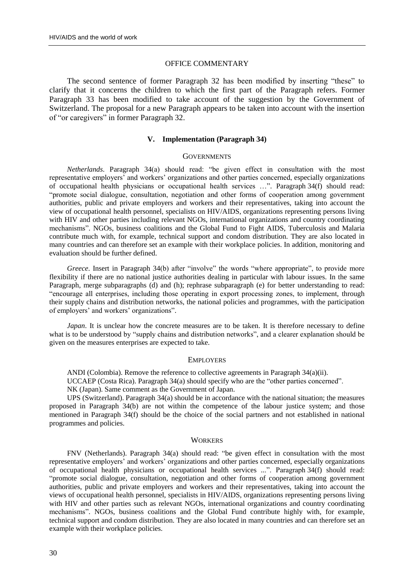#### OFFICE COMMENTARY

The second sentence of former Paragraph 32 has been modified by inserting "these" to clarify that it concerns the children to which the first part of the Paragraph refers. Former Paragraph 33 has been modified to take account of the suggestion by the Government of Switzerland. The proposal for a new Paragraph appears to be taken into account with the insertion of "or caregivers" in former Paragraph 32.

#### **V. Implementation (Paragraph 34)**

# **GOVERNMENTS**

*Netherlands*. Paragraph 34(a) should read: "be given effect in consultation with the most representative employers" and workers" organizations and other parties concerned, especially organizations of occupational health physicians or occupational health services …". Paragraph 34(f) should read: "promote social dialogue, consultation, negotiation and other forms of cooperation among government authorities, public and private employers and workers and their representatives, taking into account the view of occupational health personnel, specialists on HIV/AIDS, organizations representing persons living with HIV and other parties including relevant NGOs, international organizations and country coordinating mechanisms". NGOs, business coalitions and the Global Fund to Fight AIDS, Tuberculosis and Malaria contribute much with, for example, technical support and condom distribution. They are also located in many countries and can therefore set an example with their workplace policies. In addition, monitoring and evaluation should be further defined.

*Greece*. Insert in Paragraph 34(b) after "involve" the words "where appropriate", to provide more flexibility if there are no national justice authorities dealing in particular with labour issues. In the same Paragraph, merge subparagraphs (d) and (h); rephrase subparagraph (e) for better understanding to read: "encourage all enterprises, including those operating in export processing zones, to implement, through their supply chains and distribution networks, the national policies and programmes, with the participation of employers' and workers' organizations".

*Japan*. It is unclear how the concrete measures are to be taken. It is therefore necessary to define what is to be understood by "supply chains and distribution networks", and a clearer explanation should be given on the measures enterprises are expected to take.

#### EMPLOYERS

ANDI (Colombia). Remove the reference to collective agreements in Paragraph  $34(a)(ii)$ .

UCCAEP (Costa Rica). Paragraph 34(a) should specify who are the "other parties concerned".

NK (Japan). Same comment as the Government of Japan.

UPS (Switzerland). Paragraph 34(a) should be in accordance with the national situation; the measures proposed in Paragraph 34(b) are not within the competence of the labour justice system; and those mentioned in Paragraph 34(f) should be the choice of the social partners and not established in national programmes and policies.

#### **WORKERS**

FNV (Netherlands). Paragraph 34(a) should read: "be given effect in consultation with the most representative employers" and workers" organizations and other parties concerned, especially organizations of occupational health physicians or occupational health services ...". Paragraph 34(f) should read: "promote social dialogue, consultation, negotiation and other forms of cooperation among government authorities, public and private employers and workers and their representatives, taking into account the views of occupational health personnel, specialists in HIV/AIDS, organizations representing persons living with HIV and other parties such as relevant NGOs, international organizations and country coordinating mechanisms". NGOs, business coalitions and the Global Fund contribute highly with, for example, technical support and condom distribution. They are also located in many countries and can therefore set an example with their workplace policies.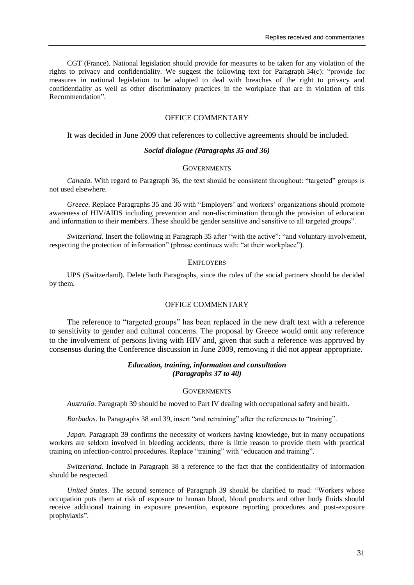CGT (France). National legislation should provide for measures to be taken for any violation of the rights to privacy and confidentiality. We suggest the following text for Paragraph 34(c): "provide for measures in national legislation to be adopted to deal with breaches of the right to privacy and confidentiality as well as other discriminatory practices in the workplace that are in violation of this Recommendation".

# OFFICE COMMENTARY

It was decided in June 2009 that references to collective agreements should be included.

# *Social dialogue (Paragraphs 35 and 36)*

### **GOVERNMENTS**

*Canada*. With regard to Paragraph 36, the text should be consistent throughout: "targeted" groups is not used elsewhere.

*Greece*. Replace Paragraphs 35 and 36 with "Employers" and workers" organizations should promote awareness of HIV/AIDS including prevention and non-discrimination through the provision of education and information to their members. These should be gender sensitive and sensitive to all targeted groups".

*Switzerland*. Insert the following in Paragraph 35 after "with the active": "and voluntary involvement, respecting the protection of information" (phrase continues with: "at their workplace").

# EMPLOYERS

UPS (Switzerland). Delete both Paragraphs, since the roles of the social partners should be decided by them.

# OFFICE COMMENTARY

The reference to "targeted groups" has been replaced in the new draft text with a reference to sensitivity to gender and cultural concerns. The proposal by Greece would omit any reference to the involvement of persons living with HIV and, given that such a reference was approved by consensus during the Conference discussion in June 2009, removing it did not appear appropriate.

# *Education, training, information and consultation (Paragraphs 37 to 40)*

# **GOVERNMENTS**

*Australia*. Paragraph 39 should be moved to Part IV dealing with occupational safety and health.

*Barbados*. In Paragraphs 38 and 39, insert "and retraining" after the references to "training".

*Japan*. Paragraph 39 confirms the necessity of workers having knowledge, but in many occupations workers are seldom involved in bleeding accidents; there is little reason to provide them with practical training on infection-control procedures. Replace "training" with "education and training".

*Switzerland*. Include in Paragraph 38 a reference to the fact that the confidentiality of information should be respected.

*United States*. The second sentence of Paragraph 39 should be clarified to read: "Workers whose occupation puts them at risk of exposure to human blood, blood products and other body fluids should receive additional training in exposure prevention, exposure reporting procedures and post-exposure prophylaxis".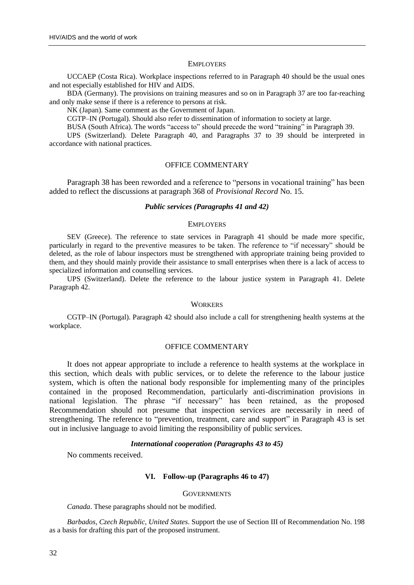#### **EMPLOYERS**

UCCAEP (Costa Rica). Workplace inspections referred to in Paragraph 40 should be the usual ones and not especially established for HIV and AIDS.

BDA (Germany). The provisions on training measures and so on in Paragraph 37 are too far-reaching and only make sense if there is a reference to persons at risk.

NK (Japan). Same comment as the Government of Japan.

CGTP–IN (Portugal). Should also refer to dissemination of information to society at large.

BUSA (South Africa). The words "access to" should precede the word "training" in Paragraph 39.

UPS (Switzerland). Delete Paragraph 40, and Paragraphs 37 to 39 should be interpreted in accordance with national practices.

# OFFICE COMMENTARY

Paragraph 38 has been reworded and a reference to "persons in vocational training" has been added to reflect the discussions at paragraph 368 of *Provisional Record* No. 15.

#### *Public services (Paragraphs 41 and 42)*

# **EMPLOYERS**

SEV (Greece). The reference to state services in Paragraph 41 should be made more specific, particularly in regard to the preventive measures to be taken. The reference to "if necessary" should be deleted, as the role of labour inspectors must be strengthened with appropriate training being provided to them, and they should mainly provide their assistance to small enterprises when there is a lack of access to specialized information and counselling services.

UPS (Switzerland). Delete the reference to the labour justice system in Paragraph 41. Delete Paragraph 42.

#### **WORKERS**

CGTP–IN (Portugal). Paragraph 42 should also include a call for strengthening health systems at the workplace.

# OFFICE COMMENTARY

It does not appear appropriate to include a reference to health systems at the workplace in this section, which deals with public services, or to delete the reference to the labour justice system, which is often the national body responsible for implementing many of the principles contained in the proposed Recommendation, particularly anti-discrimination provisions in national legislation. The phrase "if necessary" has been retained, as the proposed Recommendation should not presume that inspection services are necessarily in need of strengthening. The reference to "prevention, treatment, care and support" in Paragraph 43 is set out in inclusive language to avoid limiting the responsibility of public services.

# *International cooperation (Paragraphs 43 to 45)*

No comments received.

# **VI. Follow-up (Paragraphs 46 to 47)**

#### **GOVERNMENTS**

*Canada*. These paragraphs should not be modified.

*Barbados, Czech Republic, United States*. Support the use of Section III of Recommendation No. 198 as a basis for drafting this part of the proposed instrument.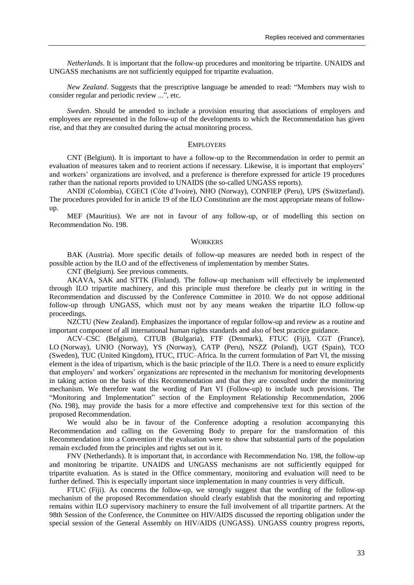*Netherlands*. It is important that the follow-up procedures and monitoring be tripartite. UNAIDS and UNGASS mechanisms are not sufficiently equipped for tripartite evaluation.

*New Zealand*. Suggests that the prescriptive language be amended to read: "Members may wish to consider regular and periodic review ...", etc.

*Sweden*. Should be amended to include a provision ensuring that associations of employers and employees are represented in the follow-up of the developments to which the Recommendation has given rise, and that they are consulted during the actual monitoring process.

#### EMPLOYERS

CNT (Belgium). It is important to have a follow-up to the Recommendation in order to permit an evaluation of measures taken and to reorient actions if necessary. Likewise, it is important that employers' and workers" organizations are involved, and a preference is therefore expressed for article 19 procedures rather than the national reports provided to UNAIDS (the so-called UNGASS reports).

ANDI (Colombia), CGECI (Côte d"Ivoire), NHO (Norway), CONFIEP (Peru), UPS (Switzerland). The procedures provided for in article 19 of the ILO Constitution are the most appropriate means of followup.

MEF (Mauritius). We are not in favour of any follow-up, or of modelling this section on Recommendation No. 198.

#### **WORKERS**

BAK (Austria). More specific details of follow-up measures are needed both in respect of the possible action by the ILO and of the effectiveness of implementation by member States.

CNT (Belgium). See previous comments.

AKAVA, SAK and STTK (Finland). The follow-up mechanism will effectively be implemented through ILO tripartite machinery, and this principle must therefore be clearly put in writing in the Recommendation and discussed by the Conference Committee in 2010. We do not oppose additional follow-up through UNGASS, which must not by any means weaken the tripartite ILO follow-up proceedings.

NZCTU (New Zealand). Emphasizes the importance of regular follow-up and review as a routine and important component of all international human rights standards and also of best practice guidance.

ACV–CSC (Belgium), CITUB (Bulgaria), FTF (Denmark), FTUC (Fiji), CGT (France), LO (Norway), UNIO (Norway), YS (Norway), CATP (Peru), NSZZ (Poland), UGT (Spain), TCO (Sweden), TUC (United Kingdom), ITUC, ITUC–Africa. In the current formulation of Part VI, the missing element is the idea of tripartism, which is the basic principle of the ILO. There is a need to ensure explicitly that employers" and workers" organizations are represented in the mechanism for monitoring developments in taking action on the basis of this Recommendation and that they are consulted under the monitoring mechanism. We therefore want the wording of Part VI (Follow-up) to include such provisions. The "Monitoring and Implementation" section of the Employment Relationship Recommendation, 2006 (No. 198), may provide the basis for a more effective and comprehensive text for this section of the proposed Recommendation.

We would also be in favour of the Conference adopting a resolution accompanying this Recommendation and calling on the Governing Body to prepare for the transformation of this Recommendation into a Convention if the evaluation were to show that substantial parts of the population remain excluded from the principles and rights set out in it.

FNV (Netherlands). It is important that, in accordance with Recommendation No. 198, the follow-up and monitoring be tripartite. UNAIDS and UNGASS mechanisms are not sufficiently equipped for tripartite evaluation. As is stated in the Office commentary, monitoring and evaluation will need to be further defined. This is especially important since implementation in many countries is very difficult.

FTUC (Fiji). As concerns the follow-up, we strongly suggest that the wording of the follow-up mechanism of the proposed Recommendation should clearly establish that the monitoring and reporting remains within ILO supervisory machinery to ensure the full involvement of all tripartite partners. At the 98th Session of the Conference, the Committee on HIV/AIDS discussed the reporting obligation under the special session of the General Assembly on HIV/AIDS (UNGASS). UNGASS country progress reports,